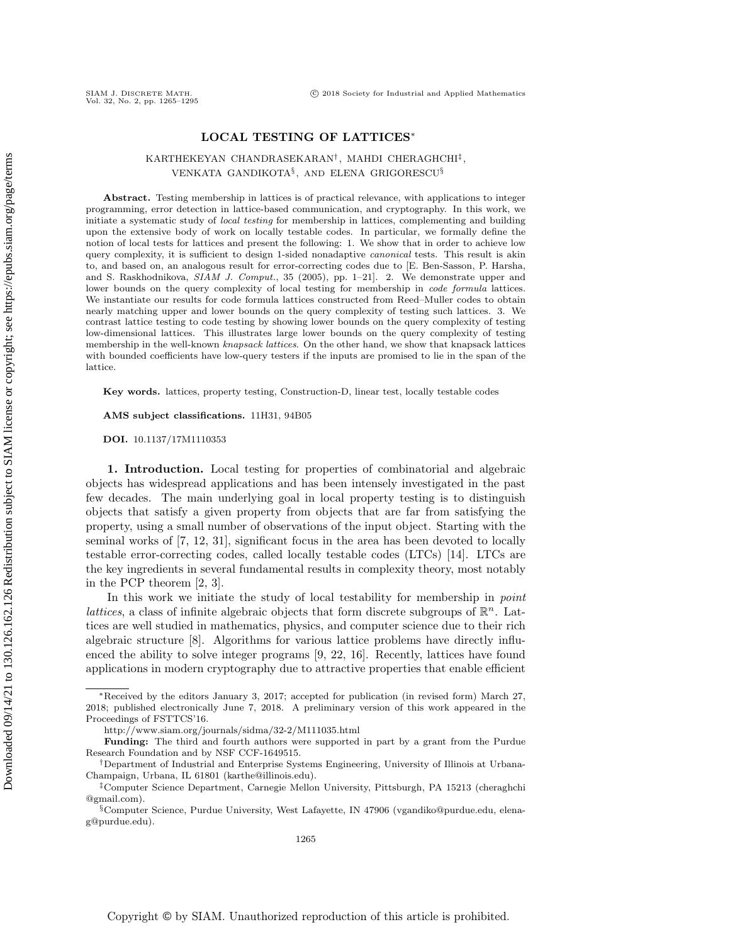# LOCAL TESTING OF LATTICES<sup>∗</sup>

# KARTHEKEYAN CHANDRASEKARAN† , MAHDI CHERAGHCHI‡ , VENKATA GANDIKOTA§ , AND ELENA GRIGORESCU§

Abstract. Testing membership in lattices is of practical relevance, with applications to integer programming, error detection in lattice-based communication, and cryptography. In this work, we initiate a systematic study of local testing for membership in lattices, complementing and building upon the extensive body of work on locally testable codes. In particular, we formally define the notion of local tests for lattices and present the following: 1. We show that in order to achieve low query complexity, it is sufficient to design 1-sided nonadaptive *canonical* tests. This result is akin to, and based on, an analogous result for error-correcting codes due to [E. Ben-Sasson, P. Harsha, and S. Raskhodnikova, SIAM J. Comput., 35 (2005), pp. 1-21]. 2. We demonstrate upper and lower bounds on the query complexity of local testing for membership in code formula lattices. We instantiate our results for code formula lattices constructed from Reed–Muller codes to obtain nearly matching upper and lower bounds on the query complexity of testing such lattices. 3. We contrast lattice testing to code testing by showing lower bounds on the query complexity of testing low-dimensional lattices. This illustrates large lower bounds on the query complexity of testing membership in the well-known knapsack lattices. On the other hand, we show that knapsack lattices with bounded coefficients have low-query testers if the inputs are promised to lie in the span of the lattice.

Key words. lattices, property testing, Construction-D, linear test, locally testable codes

AMS subject classifications. 11H31, 94B05

DOI. 10.1137/17M1110353

1. Introduction. Local testing for properties of combinatorial and algebraic objects has widespread applications and has been intensely investigated in the past few decades. The main underlying goal in local property testing is to distinguish objects that satisfy a given property from objects that are far from satisfying the property, using a small number of observations of the input object. Starting with the seminal works of [\[7,](#page-29-0) [12,](#page-30-0) [31\]](#page-30-1), significant focus in the area has been devoted to locally testable error-correcting codes, called locally testable codes (LTCs) [\[14\]](#page-30-2). LTCs are the key ingredients in several fundamental results in complexity theory, most notably in the PCP theorem [\[2,](#page-29-1) [3\]](#page-29-2).

In this work we initiate the study of local testability for membership in *point* lattices, a class of infinite algebraic objects that form discrete subgroups of  $\mathbb{R}^n$ . Lattices are well studied in mathematics, physics, and computer science due to their rich algebraic structure [\[8\]](#page-29-3). Algorithms for various lattice problems have directly influenced the ability to solve integer programs [\[9,](#page-29-4) [22,](#page-30-3) [16\]](#page-30-4). Recently, lattices have found applications in modern cryptography due to attractive properties that enable efficient

<sup>∗</sup>Received by the editors January 3, 2017; accepted for publication (in revised form) March 27, 2018; published electronically June 7, 2018. A preliminary version of this work appeared in the Proceedings of FSTTCS'16.

<http://www.siam.org/journals/sidma/32-2/M111035.html>

Funding: The third and fourth authors were supported in part by a grant from the Purdue Research Foundation and by NSF CCF-1649515.

<sup>†</sup>Department of Industrial and Enterprise Systems Engineering, University of Illinois at Urbana-Champaign, Urbana, IL 61801 [\(karthe@illinois.edu\)](mailto:karthe@illinois.edu).

<sup>‡</sup>Computer Science Department, Carnegie Mellon University, Pittsburgh, PA 15213 [\(cheraghchi](mailto:cheraghchi@gmail.com) [@gmail.com\)](mailto:cheraghchi@gmail.com).

<sup>§</sup>Computer Science, Purdue University, West Lafayette, IN 47906 [\(vgandiko@purdue.edu,](mailto:vgandiko@purdue.edu) [elena](mailto:elena-g@purdue.edu)[g@purdue.edu\)](mailto:elena-g@purdue.edu).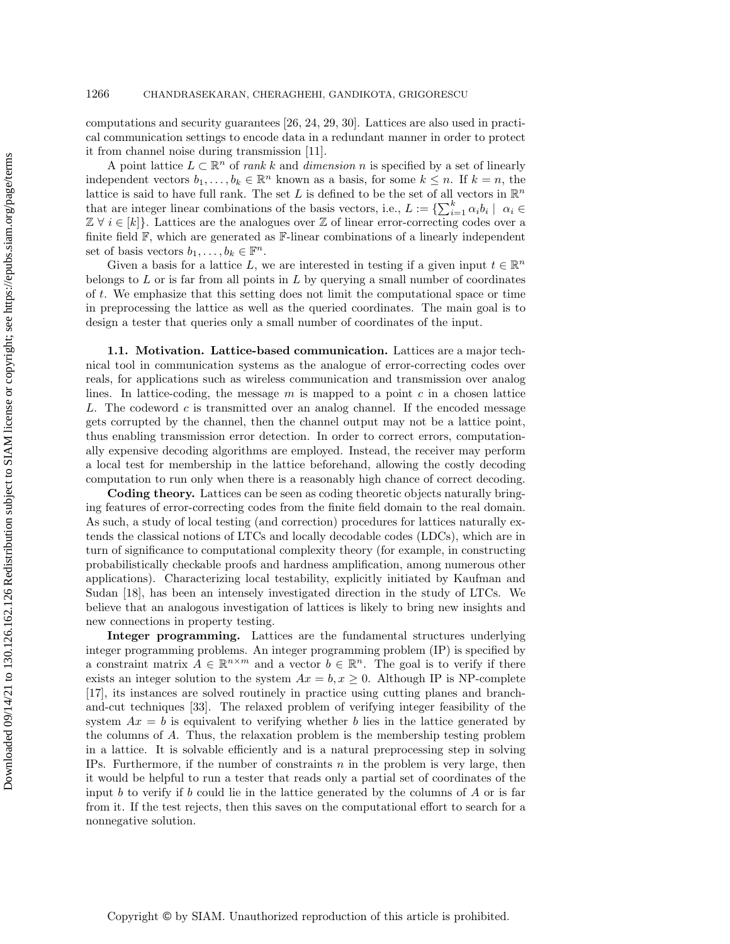computations and security guarantees [\[26,](#page-30-5) [24,](#page-30-6) [29,](#page-30-7) [30\]](#page-30-8). Lattices are also used in practical communication settings to encode data in a redundant manner in order to protect it from channel noise during transmission [\[11\]](#page-29-5).

A point lattice  $L \subset \mathbb{R}^n$  of *rank k* and *dimension n* is specified by a set of linearly independent vectors  $b_1, \ldots, b_k \in \mathbb{R}^n$  known as a basis, for some  $k \leq n$ . If  $k = n$ , the lattice is said to have full rank. The set L is defined to be the set of all vectors in  $\mathbb{R}^n$ that are integer linear combinations of the basis vectors, i.e.,  $L := \{ \sum_{i=1}^{k} \alpha_i b_i \mid \alpha_i \in$  $\mathbb{Z} \ \forall \ i \in [k]$ . Lattices are the analogues over  $\mathbb{Z}$  of linear error-correcting codes over a finite field  $\mathbb{F}$ , which are generated as  $\mathbb{F}$ -linear combinations of a linearly independent set of basis vectors  $b_1, \ldots, b_k \in \mathbb{F}^n$ .

Given a basis for a lattice L, we are interested in testing if a given input  $t \in \mathbb{R}^n$ belongs to  $L$  or is far from all points in  $L$  by querying a small number of coordinates of t. We emphasize that this setting does not limit the computational space or time in preprocessing the lattice as well as the queried coordinates. The main goal is to design a tester that queries only a small number of coordinates of the input.

1.1. Motivation. Lattice-based communication. Lattices are a major technical tool in communication systems as the analogue of error-correcting codes over reals, for applications such as wireless communication and transmission over analog lines. In lattice-coding, the message  $m$  is mapped to a point  $c$  in a chosen lattice L. The codeword c is transmitted over an analog channel. If the encoded message gets corrupted by the channel, then the channel output may not be a lattice point, thus enabling transmission error detection. In order to correct errors, computationally expensive decoding algorithms are employed. Instead, the receiver may perform a local test for membership in the lattice beforehand, allowing the costly decoding computation to run only when there is a reasonably high chance of correct decoding.

Coding theory. Lattices can be seen as coding theoretic objects naturally bringing features of error-correcting codes from the finite field domain to the real domain. As such, a study of local testing (and correction) procedures for lattices naturally extends the classical notions of LTCs and locally decodable codes (LDCs), which are in turn of significance to computational complexity theory (for example, in constructing probabilistically checkable proofs and hardness amplification, among numerous other applications). Characterizing local testability, explicitly initiated by Kaufman and Sudan [\[18\]](#page-30-9), has been an intensely investigated direction in the study of LTCs. We believe that an analogous investigation of lattices is likely to bring new insights and new connections in property testing.

Integer programming. Lattices are the fundamental structures underlying integer programming problems. An integer programming problem (IP) is specified by a constraint matrix  $A \in \mathbb{R}^{n \times m}$  and a vector  $b \in \mathbb{R}^n$ . The goal is to verify if there exists an integer solution to the system  $Ax = b, x \ge 0$ . Although IP is NP-complete [\[17\]](#page-30-10), its instances are solved routinely in practice using cutting planes and branchand-cut techniques [\[33\]](#page-30-11). The relaxed problem of verifying integer feasibility of the system  $Ax = b$  is equivalent to verifying whether b lies in the lattice generated by the columns of A. Thus, the relaxation problem is the membership testing problem in a lattice. It is solvable efficiently and is a natural preprocessing step in solving IPs. Furthermore, if the number of constraints  $n$  in the problem is very large, then it would be helpful to run a tester that reads only a partial set of coordinates of the input  $b$  to verify if  $b$  could lie in the lattice generated by the columns of  $A$  or is far from it. If the test rejects, then this saves on the computational effort to search for a nonnegative solution.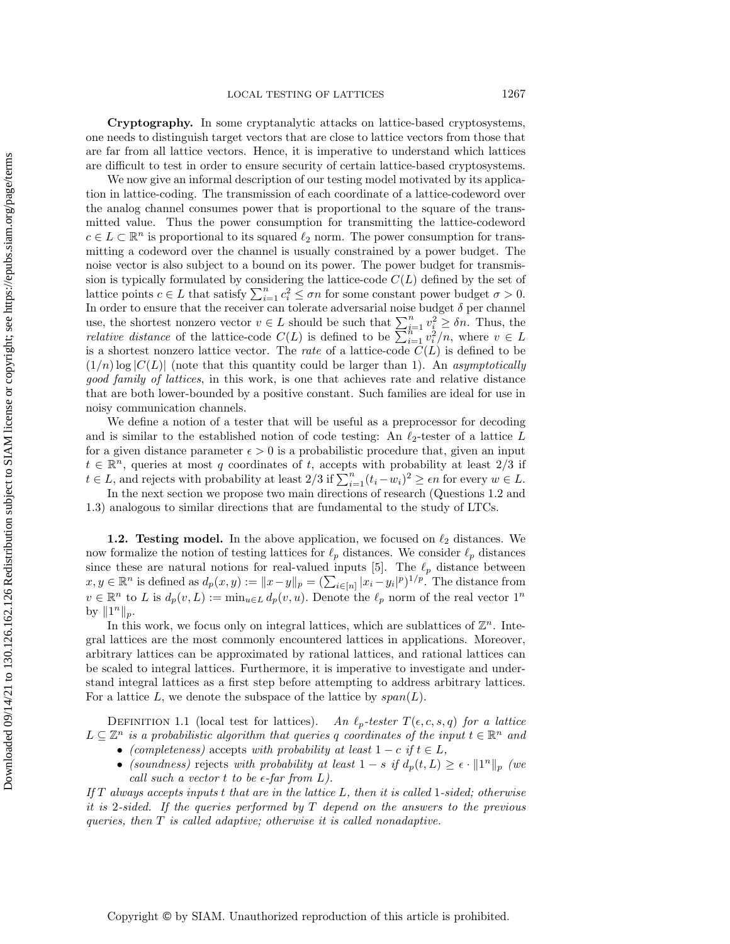Cryptography. In some cryptanalytic attacks on lattice-based cryptosystems, one needs to distinguish target vectors that are close to lattice vectors from those that are far from all lattice vectors. Hence, it is imperative to understand which lattices are difficult to test in order to ensure security of certain lattice-based cryptosystems.

We now give an informal description of our testing model motivated by its application in lattice-coding. The transmission of each coordinate of a lattice-codeword over the analog channel consumes power that is proportional to the square of the transmitted value. Thus the power consumption for transmitting the lattice-codeword  $c \in L \subset \mathbb{R}^n$  is proportional to its squared  $\ell_2$  norm. The power consumption for transmitting a codeword over the channel is usually constrained by a power budget. The noise vector is also subject to a bound on its power. The power budget for transmission is typically formulated by considering the lattice-code  $C(L)$  defined by the set of lattice points  $c \in L$  that satisfy  $\sum_{i=1}^{n} c_i^2 \leq \sigma n$  for some constant power budget  $\sigma > 0$ . In order to ensure that the receiver can tolerate adversarial noise budget  $\delta$  per channel use, the shortest nonzero vector  $v \in L$  should be such that  $\sum_{i=1}^{n} v_i^2 \geq \delta n$ . Thus, the *relative distance* of the lattice-code  $C(L)$  is defined to be  $\sum_{i=1}^{n} v_i^2/n$ , where  $v \in L$ is a shortest nonzero lattice vector. The *rate* of a lattice-code  $C(L)$  is defined to be  $(1/n)$  log  $|C(L)|$  (note that this quantity could be larger than 1). An asymptotically good family of lattices, in this work, is one that achieves rate and relative distance that are both lower-bounded by a positive constant. Such families are ideal for use in noisy communication channels.

We define a notion of a tester that will be useful as a preprocessor for decoding and is similar to the established notion of code testing: An  $\ell_2$ -tester of a lattice L for a given distance parameter  $\epsilon > 0$  is a probabilistic procedure that, given an input  $t \in \mathbb{R}^n$ , queries at most q coordinates of t, accepts with probability at least 2/3 if  $t \in L$ , and rejects with probability at least  $2/3$  if  $\sum_{i=1}^{n} (t_i - w_i)^2 \ge \epsilon n$  for every  $w \in L$ .

In the next section we propose two main directions of research (Questions [1.2](#page-3-0) and [1.3\)](#page-3-1) analogous to similar directions that are fundamental to the study of LTCs.

**1.2. Testing model.** In the above application, we focused on  $\ell_2$  distances. We now formalize the notion of testing lattices for  $\ell_p$  distances. We consider  $\ell_p$  distances since these are natural notions for real-valued inputs [\[5\]](#page-29-6). The  $\ell_p$  distance between  $x, y \in \mathbb{R}^n$  is defined as  $d_p(x, y) := \|x - y\|_p = \left(\sum_{i \in [n]} |x_i - y_i|^p\right)^{1/p}$ . The distance from  $v \in \mathbb{R}^n$  to L is  $d_p(v, L) := \min_{u \in L} d_p(v, u)$ . Denote the  $\ell_p$  norm of the real vector  $1^n$ by  $||1^n||_p$ .

In this work, we focus only on integral lattices, which are sublattices of  $\mathbb{Z}^n$ . Integral lattices are the most commonly encountered lattices in applications. Moreover, arbitrary lattices can be approximated by rational lattices, and rational lattices can be scaled to integral lattices. Furthermore, it is imperative to investigate and understand integral lattices as a first step before attempting to address arbitrary lattices. For a lattice L, we denote the subspace of the lattice by  $span(L)$ .

<span id="page-2-0"></span>DEFINITION 1.1 (local test for lattices). An  $\ell_p\text{-}tester$   $T(\epsilon, c, s, q)$  for a lattice  $L \subseteq \mathbb{Z}^n$  is a probabilistic algorithm that queries q coordinates of the input  $t \in \mathbb{R}^n$  and

- (completeness) accepts with probability at least  $1 c$  if  $t \in L$ ,
- (soundness) rejects with probability at least  $1-s$  if  $d_p(t,L) \geq \epsilon \cdot ||1^n||_p$  (we call such a vector t to be  $\epsilon$ -far from L).

If  $T$  always accepts inputs t that are in the lattice  $L$ , then it is called 1-sided; otherwise it is 2-sided. If the queries performed by  $T$  depend on the answers to the previous queries, then T is called adaptive; otherwise it is called nonadaptive.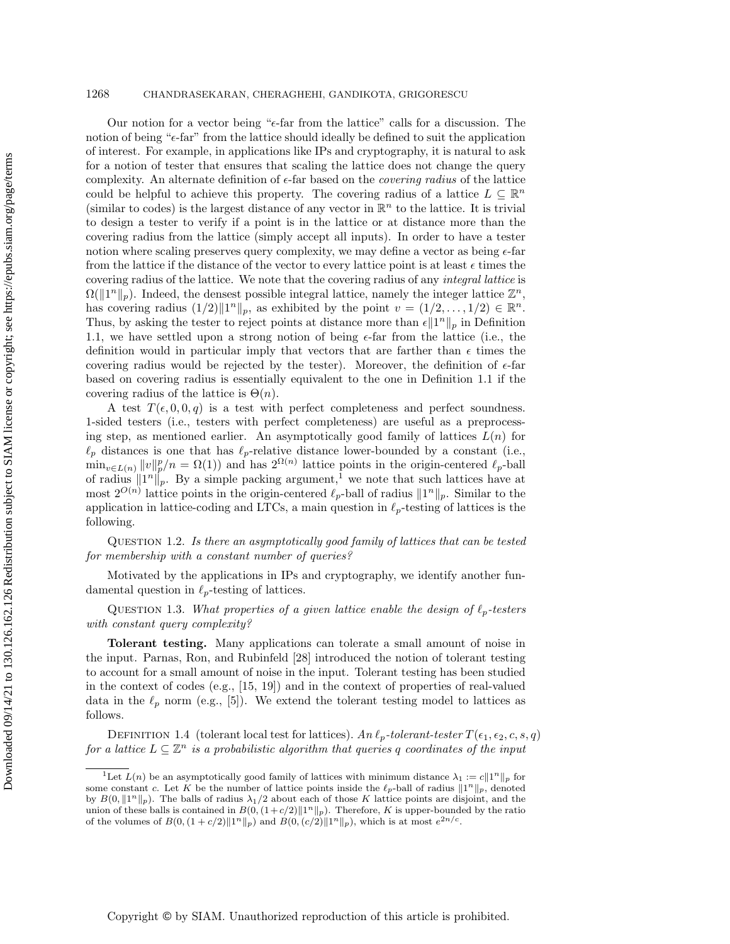#### 1268 CHANDRASEKARAN, CHERAGHEHI, GANDIKOTA, GRIGORESCU

Our notion for a vector being " $\epsilon$ -far from the lattice" calls for a discussion. The notion of being " $\epsilon$ -far" from the lattice should ideally be defined to suit the application of interest. For example, in applications like IPs and cryptography, it is natural to ask for a notion of tester that ensures that scaling the lattice does not change the query complexity. An alternate definition of  $\epsilon$ -far based on the *covering radius* of the lattice could be helpful to achieve this property. The covering radius of a lattice  $L \subseteq \mathbb{R}^n$ (similar to codes) is the largest distance of any vector in  $\mathbb{R}^n$  to the lattice. It is trivial to design a tester to verify if a point is in the lattice or at distance more than the covering radius from the lattice (simply accept all inputs). In order to have a tester notion where scaling preserves query complexity, we may define a vector as being  $\epsilon$ -far from the lattice if the distance of the vector to every lattice point is at least  $\epsilon$  times the covering radius of the lattice. We note that the covering radius of any integral lattice is  $\Omega(\Vert 1^n \Vert_p)$ . Indeed, the densest possible integral lattice, namely the integer lattice  $\mathbb{Z}^n$ , has covering radius  $(1/2) \|1^n\|_p$ , as exhibited by the point  $v = (1/2, \ldots, 1/2) \in \mathbb{R}^n$ . Thus, by asking the tester to reject points at distance more than  $\epsilon \|1^n\|_p$  in Definition [1.1,](#page-2-0) we have settled upon a strong notion of being  $\epsilon$ -far from the lattice (i.e., the definition would in particular imply that vectors that are farther than  $\epsilon$  times the covering radius would be rejected by the tester). Moreover, the definition of  $\epsilon$ -far based on covering radius is essentially equivalent to the one in Definition [1.1](#page-2-0) if the covering radius of the lattice is  $\Theta(n)$ .

A test  $T(\epsilon, 0, 0, q)$  is a test with perfect completeness and perfect soundness. 1-sided testers (i.e., testers with perfect completeness) are useful as a preprocessing step, as mentioned earlier. An asymptotically good family of lattices  $L(n)$  for  $\ell_p$  distances is one that has  $\ell_p$ -relative distance lower-bounded by a constant (i.e.,  $\min_{v \in L(n)} ||v||_p^p/n = \Omega(1)$  and has  $2^{\Omega(n)}$  lattice points in the origin-centered  $\ell_p$ -ball of radius  $||1^n||_p$  $||1^n||_p$  $||1^n||_p$ . By a simple packing argument,<sup>1</sup> we note that such lattices have at most  $2^{O(n)}$  lattice points in the origin-centered  $\ell_p$ -ball of radius  $||1^n||_p$ . Similar to the application in lattice-coding and LTCs, a main question in  $\ell_p$ -testing of lattices is the following.

<span id="page-3-0"></span>Question 1.2. Is there an asymptotically good family of lattices that can be tested for membership with a constant number of queries?

<span id="page-3-1"></span>Motivated by the applications in IPs and cryptography, we identify another fundamental question in  $\ell_p$ -testing of lattices.

QUESTION 1.3. What properties of a given lattice enable the design of  $\ell_p$ -testers with constant query complexity?

Tolerant testing. Many applications can tolerate a small amount of noise in the input. Parnas, Ron, and Rubinfeld [\[28\]](#page-30-12) introduced the notion of tolerant testing to account for a small amount of noise in the input. Tolerant testing has been studied in the context of codes (e.g., [\[15,](#page-30-13) [19\]](#page-30-14)) and in the context of properties of real-valued data in the  $\ell_p$  norm (e.g., [\[5\]](#page-29-6)). We extend the tolerant testing model to lattices as follows.

DEFINITION 1.4 (tolerant local test for lattices). An  $\ell_p$ -tolerant-tester  $T(\epsilon_1, \epsilon_2, c, s, q)$ for a lattice  $L \subseteq \mathbb{Z}^n$  is a probabilistic algorithm that queries q coordinates of the input

<span id="page-3-2"></span><sup>&</sup>lt;sup>1</sup>Let  $L(n)$  be an asymptotically good family of lattices with minimum distance  $\lambda_1 := c||1^n||_p$  for some constant c. Let K be the number of lattice points inside the  $\ell_p$ -ball of radius  $||1^n||_p$ , denoted by  $B(0, \|1^n\|_p)$ . The balls of radius  $\lambda_1/2$  about each of those K lattice points are disjoint, and the union of these balls is contained in  $B(0, (1+c/2) \|1^n\|_p)$ . Therefore, K is upper-bounded by the ratio of the volumes of  $B(0, (1 + c/2) ||1^n||_p)$  and  $B(0, (c/2) ||1^n||_p)$ , which is at most  $e^{2n/c}$ .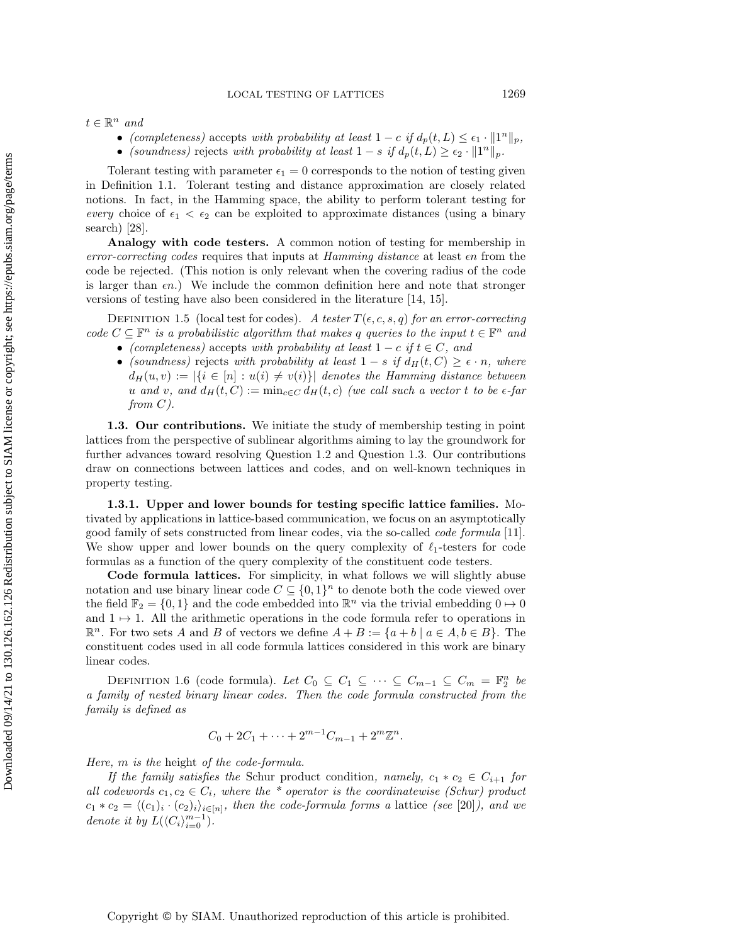$t \in \mathbb{R}^n$  and

- (completeness) accepts with probability at least  $1 c$  if  $d_p(t, L) \leq \epsilon_1 \cdot ||1^n||_p$ ,
- (soundness) rejects with probability at least  $1-s$  if  $d_p(t,L) \geq \epsilon_2 \cdot ||1^n||_p$ .

Tolerant testing with parameter  $\epsilon_1 = 0$  corresponds to the notion of testing given in Definition [1.1.](#page-2-0) Tolerant testing and distance approximation are closely related notions. In fact, in the Hamming space, the ability to perform tolerant testing for every choice of  $\epsilon_1 < \epsilon_2$  can be exploited to approximate distances (using a binary search) [\[28\]](#page-30-12).

Analogy with code testers. A common notion of testing for membership in  $error-correcting codes$  requires that inputs at  $Hamming distance$  at least  $\epsilon n$  from the code be rejected. (This notion is only relevant when the covering radius of the code is larger than  $\epsilon n$ .) We include the common definition here and note that stronger versions of testing have also been considered in the literature [\[14,](#page-30-2) [15\]](#page-30-13).

<span id="page-4-0"></span>DEFINITION 1.5 (local test for codes). A tester  $T(\epsilon, c, s, q)$  for an error-correcting code  $C \subseteq \mathbb{F}^n$  is a probabilistic algorithm that makes q queries to the input  $t \in \mathbb{F}^n$  and

- (completeness) accepts with probability at least  $1 c$  if  $t \in C$ , and
- (soundness) rejects with probability at least  $1 s$  if  $d_H(t, C) \geq \epsilon \cdot n$ , where  $d_H(u, v) := |\{i \in [n] : u(i) \neq v(i)\}|$  denotes the Hamming distance between u and v, and  $d_H(t, C) := \min_{c \in C} d_H(t, c)$  (we call such a vector t to be  $\epsilon$ -far from  $C$ ).

1.3. Our contributions. We initiate the study of membership testing in point lattices from the perspective of sublinear algorithms aiming to lay the groundwork for further advances toward resolving Question [1.2](#page-3-0) and Question [1.3.](#page-3-1) Our contributions draw on connections between lattices and codes, and on well-known techniques in property testing.

1.3.1. Upper and lower bounds for testing specific lattice families. Motivated by applications in lattice-based communication, we focus on an asymptotically good family of sets constructed from linear codes, via the so-called code formula [\[11\]](#page-29-5). We show upper and lower bounds on the query complexity of  $\ell_1$ -testers for code formulas as a function of the query complexity of the constituent code testers.

Code formula lattices. For simplicity, in what follows we will slightly abuse notation and use binary linear code  $C \subseteq \{0,1\}^n$  to denote both the code viewed over the field  $\mathbb{F}_2 = \{0, 1\}$  and the code embedded into  $\mathbb{R}^n$  via the trivial embedding  $0 \mapsto 0$ and  $1 \mapsto 1$ . All the arithmetic operations in the code formula refer to operations in  $\mathbb{R}^n$ . For two sets A and B of vectors we define  $A + B := \{a + b \mid a \in A, b \in B\}$ . The constituent codes used in all code formula lattices considered in this work are binary linear codes.

DEFINITION 1.6 (code formula). Let  $C_0 \subseteq C_1 \subseteq \cdots \subseteq C_{m-1} \subseteq C_m = \mathbb{F}_2^n$  be a family of nested binary linear codes. Then the code formula constructed from the family is defined as

$$
C_0 + 2C_1 + \dots + 2^{m-1}C_{m-1} + 2^m \mathbb{Z}^n.
$$

Here, m is the height of the code-formula.

If the family satisfies the Schur product condition, namely,  $c_1 * c_2 \in C_{i+1}$  for all codewords  $c_1, c_2 \in C_i$ , where the \* operator is the coordinatewise (Schur) product  $c_1 * c_2 = \langle (c_1)_i \cdot (c_2)_i \rangle_{i \in [n]}$ , then the code-formula forms a lattice (see [\[20\]](#page-30-15)), and we denote it by  $L(\langle C_i \rangle_{i=0}^{m-1}).$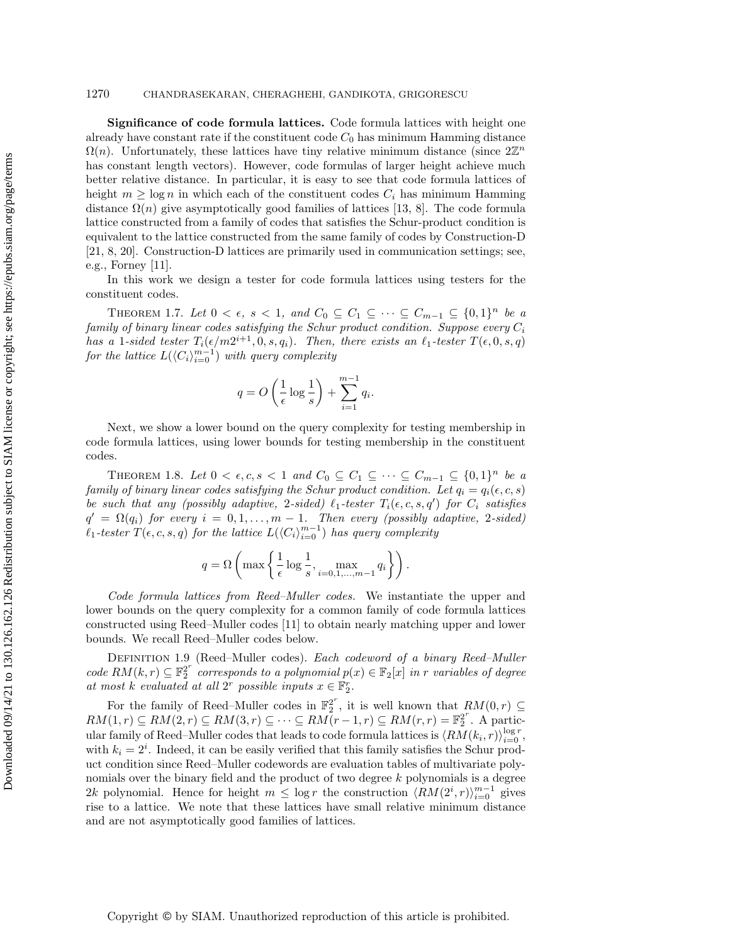### 1270 CHANDRASEKARAN, CHERAGHEHI, GANDIKOTA, GRIGORESCU

Significance of code formula lattices. Code formula lattices with height one already have constant rate if the constituent code  $C_0$  has minimum Hamming distance  $\Omega(n)$ . Unfortunately, these lattices have tiny relative minimum distance (since  $2\mathbb{Z}^n$ has constant length vectors). However, code formulas of larger height achieve much better relative distance. In particular, it is easy to see that code formula lattices of height  $m \geq \log n$  in which each of the constituent codes  $C_i$  has minimum Hamming distance  $\Omega(n)$  give asymptotically good families of lattices [\[13,](#page-30-16) [8\]](#page-29-3). The code formula lattice constructed from a family of codes that satisfies the Schur-product condition is equivalent to the lattice constructed from the same family of codes by Construction-D [\[21,](#page-30-17) [8,](#page-29-3) [20\]](#page-30-15). Construction-D lattices are primarily used in communication settings; see, e.g., Forney [\[11\]](#page-29-5).

In this work we design a tester for code formula lattices using testers for the constituent codes.

<span id="page-5-2"></span>THEOREM 1.7. Let  $0 < \epsilon$ ,  $s < 1$ , and  $C_0 \subseteq C_1 \subseteq \cdots \subseteq C_{m-1} \subseteq \{0,1\}^n$  be a family of binary linear codes satisfying the Schur product condition. Suppose every  $C_i$ has a 1-sided tester  $T_i(\epsilon/m2^{i+1}, 0, s, q_i)$ . Then, there exists an  $\ell_1$ -tester  $T(\epsilon, 0, s, q)$ for the lattice  $L(\langle C_i \rangle_{i=0}^{m-1})$  with query complexity

$$
q = O\left(\frac{1}{\epsilon}\log\frac{1}{s}\right) + \sum_{i=1}^{m-1} q_i.
$$

Next, we show a lower bound on the query complexity for testing membership in code formula lattices, using lower bounds for testing membership in the constituent codes.

<span id="page-5-1"></span>THEOREM 1.8. Let  $0 < \epsilon, c, s < 1$  and  $C_0 \subseteq C_1 \subseteq \cdots \subseteq C_{m-1} \subseteq \{0,1\}^n$  be a family of binary linear codes satisfying the Schur product condition. Let  $q_i = q_i(\epsilon, c, s)$ be such that any (possibly adaptive, 2-sided)  $\ell_1$ -tester  $T_i(\epsilon, c, s, q')$  for  $C_i$  satisfies  $q' = \Omega(q_i)$  for every  $i = 0, 1, \ldots, m - 1$ . Then every (possibly adaptive, 2-sided)  $\ell_1$ -tester  $T(\epsilon, c, s, q)$  for the lattice  $L(\langle C_i \rangle_{i=0}^{m-1})$  has query complexity

$$
q = \Omega\left(\max\left\{\frac{1}{\epsilon}\log\frac{1}{s}, \max_{i=0,1,\dots,m-1}q_i\right\}\right).
$$

Code formula lattices from Reed–Muller codes. We instantiate the upper and lower bounds on the query complexity for a common family of code formula lattices constructed using Reed–Muller codes [\[11\]](#page-29-5) to obtain nearly matching upper and lower bounds. We recall Reed–Muller codes below.

DEFINITION 1.9 (Reed–Muller codes). Each codeword of a binary Reed–Muller code  $RM(k,r) \subseteq \mathbb{F}_2^{2^r}$  corresponds to a polynomial  $p(x) \in \mathbb{F}_2[x]$  in r variables of degree at most k evaluated at all  $2^r$  possible inputs  $x \in \mathbb{F}_2^r$ .

<span id="page-5-0"></span>For the family of Reed–Muller codes in  $\mathbb{F}_2^{2^r}$ , it is well known that  $RM(0,r) \subseteq$  $RM(1,r) \subseteq RM(2,r) \subseteq RM(3,r) \subseteq \cdots \subseteq RM(r-1,r) \subseteq RM(r,r) = \mathbb{F}_2^{2^r}$ . A particular family of Reed–Muller codes that leads to code formula lattices is  $\langle RM(k_i, r) \rangle_{i=0}^{\log r}$ , with  $k_i = 2^i$ . Indeed, it can be easily verified that this family satisfies the Schur product condition since Reed–Muller codewords are evaluation tables of multivariate polynomials over the binary field and the product of two degree  $k$  polynomials is a degree 2k polynomial. Hence for height  $m \leq \log r$  the construction  $\langle RM(2^i, r) \rangle_{i=0}^{m-1}$  gives rise to a lattice. We note that these lattices have small relative minimum distance and are not asymptotically good families of lattices.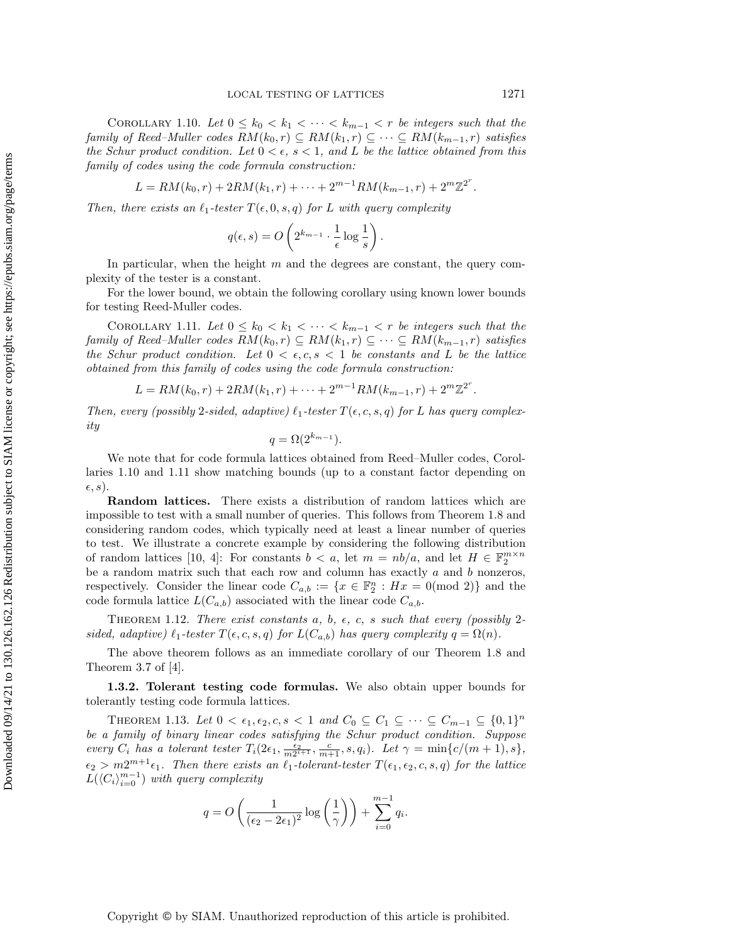COROLLARY 1.10. Let  $0 \leq k_0 < k_1 < \cdots < k_{m-1} < r$  be integers such that the family of Reed–Muller codes  $RM(k_0, r) \subseteq RM(k_1, r) \subseteq \cdots \subseteq RM(k_{m-1}, r)$  satisfies the Schur product condition. Let  $0 < \epsilon$ ,  $s < 1$ , and L be the lattice obtained from this family of codes using the code formula construction:

$$
L = RM(k_0, r) + 2RM(k_1, r) + \cdots + 2^{m-1}RM(k_{m-1}, r) + 2^m \mathbb{Z}^{2^r}.
$$

Then, there exists an  $\ell_1$ -tester  $T(\epsilon, 0, s, q)$  for L with query complexity

<span id="page-6-0"></span>
$$
q(\epsilon, s) = O\left(2^{k_{m-1}} \cdot \frac{1}{\epsilon} \log \frac{1}{s}\right).
$$

In particular, when the height  $m$  and the degrees are constant, the query complexity of the tester is a constant.

For the lower bound, we obtain the following corollary using known lower bounds for testing Reed-Muller codes.

COROLLARY 1.11. Let  $0 \leq k_0 < k_1 < \cdots < k_{m-1} < r$  be integers such that the family of Reed–Muller codes  $RM(k_0, r) \subseteq RM(k_1, r) \subseteq \cdots \subseteq RM(k_{m-1}, r)$  satisfies the Schur product condition. Let  $0 < \epsilon, c, s < 1$  be constants and L be the lattice obtained from this family of codes using the code formula construction:

$$
L = RM(k_0, r) + 2RM(k_1, r) + \dots + 2^{m-1}RM(k_{m-1}, r) + 2^m \mathbb{Z}^{2^r}
$$

Then, every (possibly 2-sided, adaptive)  $\ell_1$ -tester  $T(\epsilon, c, s, q)$  for L has query complexity

$$
q = \Omega(2^{k_{m-1}}).
$$

We note that for code formula lattices obtained from Reed–Muller codes, Corollaries [1.10](#page-5-0) and [1.11](#page-6-0) show matching bounds (up to a constant factor depending on  $(\epsilon, s)$ .

Random lattices. There exists a distribution of random lattices which are impossible to test with a small number of queries. This follows from Theorem [1.8](#page-5-1) and considering random codes, which typically need at least a linear number of queries to test. We illustrate a concrete example by considering the following distribution of random lattices [\[10,](#page-29-7) [4\]](#page-29-8): For constants  $b < a$ , let  $m = nb/a$ , and let  $H \in \mathbb{F}_2^{m \times n}$ be a random matrix such that each row and column has exactly  $a$  and  $b$  nonzeros, respectively. Consider the linear code  $C_{a,b} := \{x \in \mathbb{F}_2^n : Hx = 0 \text{ (mod 2)}\}$  and the code formula lattice  $L(C_{a,b})$  associated with the linear code  $C_{a,b}$ .

THEOREM 1.12. There exist constants a, b,  $\epsilon$ , c, s such that every (possibly 2sided, adaptive)  $\ell_1$ -tester  $T(\epsilon, c, s, q)$  for  $L(C_{a,b})$  has query complexity  $q = \Omega(n)$ .

The above theorem follows as an immediate corollary of our Theorem [1.8](#page-5-1) and Theorem 3.7 of [\[4\]](#page-29-8).

1.3.2. Tolerant testing code formulas. We also obtain upper bounds for tolerantly testing code formula lattices.

<span id="page-6-1"></span>THEOREM 1.13. Let  $0 < \epsilon_1, \epsilon_2, c, s < 1$  and  $C_0 \subseteq C_1 \subseteq \cdots \subseteq C_{m-1} \subseteq \{0,1\}^n$ be a family of binary linear codes satisfying the Schur product condition. Suppose every  $C_i$  has a tolerant tester  $T_i(2\epsilon_1, \frac{\epsilon_2}{m2^{i+1}}, \frac{c}{m+1}, s, q_i)$ . Let  $\gamma = \min\{c/(m+1), s\}$ ,  $\epsilon_2 > m2^{m+1}\epsilon_1$ . Then there exists an  $\ell_1$ -tolerant-tester  $T(\epsilon_1, \epsilon_2, c, s, q)$  for the lattice  $L(\langle C_i \rangle_{i=0}^{m-1})$  with query complexity

<span id="page-6-2"></span>
$$
q = O\left(\frac{1}{(\epsilon_2 - 2\epsilon_1)^2} \log\left(\frac{1}{\gamma}\right)\right) + \sum_{i=0}^{m-1} q_i.
$$

.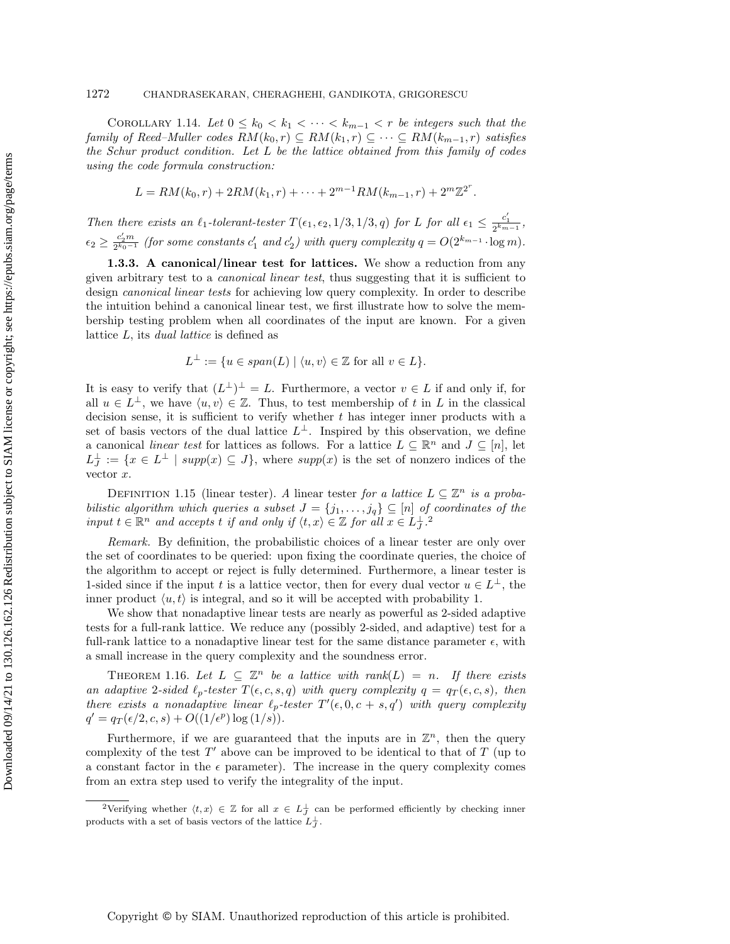COROLLARY 1.14. Let  $0 \leq k_0 < k_1 < \cdots < k_{m-1} < r$  be integers such that the family of Reed–Muller codes  $RM(k_0, r) \subseteq RM(k_1, r) \subseteq \cdots \subseteq RM(k_{m-1}, r)$  satisfies the Schur product condition. Let  $L$  be the lattice obtained from this family of codes using the code formula construction:

$$
L = RM(k_0, r) + 2RM(k_1, r) + \cdots + 2^{m-1}RM(k_{m-1}, r) + 2^m \mathbb{Z}^{2^r}.
$$

Then there exists an  $\ell_1$ -tolerant-tester  $T(\epsilon_1, \epsilon_2, 1/3, 1/3, q)$  for L for all  $\epsilon_1 \leq \frac{c'_1}{2^{k_{m-1}}}$ ,  $\epsilon_2 \geq \frac{c'_2 m}{2^{k_0-1}}$  (for some constants  $c'_1$  and  $c'_2$ ) with query complexity  $q = O(2^{k_{m-1}} \cdot \log m)$ .

1.3.3. A canonical/linear test for lattices. We show a reduction from any given arbitrary test to a canonical linear test, thus suggesting that it is sufficient to design canonical linear tests for achieving low query complexity. In order to describe the intuition behind a canonical linear test, we first illustrate how to solve the membership testing problem when all coordinates of the input are known. For a given lattice L, its dual lattice is defined as

$$
L^{\perp} := \{ u \in span(L) \mid \langle u, v \rangle \in \mathbb{Z} \text{ for all } v \in L \}
$$

It is easy to verify that  $(L^{\perp})^{\perp} = L$ . Furthermore, a vector  $v \in L$  if and only if, for all  $u \in L^{\perp}$ , we have  $\langle u, v \rangle \in \mathbb{Z}$ . Thus, to test membership of t in L in the classical decision sense, it is sufficient to verify whether  $t$  has integer inner products with a set of basis vectors of the dual lattice  $L^{\perp}$ . Inspired by this observation, we define a canonical *linear test* for lattices as follows. For a lattice  $L \subseteq \mathbb{R}^n$  and  $J \subseteq [n]$ , let  $L_J^{\perp} := \{x \in L^{\perp} \mid supp(x) \subseteq J\},\$  where  $supp(x)$  is the set of nonzero indices of the vector x.

DEFINITION 1.15 (linear tester). A linear tester for a lattice  $L \subseteq \mathbb{Z}^n$  is a probabilistic algorithm which queries a subset  $J = \{j_1, \ldots, j_q\} \subseteq [n]$  of coordinates of the input  $t \in \mathbb{R}^n$  and accepts t if and only if  $\langle t, x \rangle \in \mathbb{Z}$  for all  $x \in L_J^{\perp}$ .

Remark. By definition, the probabilistic choices of a linear tester are only over the set of coordinates to be queried: upon fixing the coordinate queries, the choice of the algorithm to accept or reject is fully determined. Furthermore, a linear tester is 1-sided since if the input t is a lattice vector, then for every dual vector  $u \in L^{\perp}$ , the inner product  $\langle u, t \rangle$  is integral, and so it will be accepted with probability 1.

We show that nonadaptive linear tests are nearly as powerful as 2-sided adaptive tests for a full-rank lattice. We reduce any (possibly 2-sided, and adaptive) test for a full-rank lattice to a nonadaptive linear test for the same distance parameter  $\epsilon$ , with a small increase in the query complexity and the soundness error.

<span id="page-7-1"></span>THEOREM 1.16. Let  $L \subseteq \mathbb{Z}^n$  be a lattice with rank $(L) = n$ . If there exists an adaptive 2-sided  $\ell_p$ -tester  $T(\epsilon, c, s, q)$  with query complexity  $q = q_T(\epsilon, c, s)$ , then there exists a nonadaptive linear  $\ell_p$ -tester  $T'(\epsilon, 0, c + s, q')$  with query complexity  $q' = q_T(\epsilon/2, c, s) + O((1/\epsilon^p) \log{(1/s)}).$ 

Furthermore, if we are guaranteed that the inputs are in  $\mathbb{Z}^n$ , then the query complexity of the test  $T'$  above can be improved to be identical to that of  $T$  (up to a constant factor in the  $\epsilon$  parameter). The increase in the query complexity comes from an extra step used to verify the integrality of the input.

<span id="page-7-0"></span><sup>&</sup>lt;sup>2</sup>Verifying whether  $\langle t, x \rangle \in \mathbb{Z}$  for all  $x \in L_J^{\perp}$  can be performed efficiently by checking inner products with a set of basis vectors of the lattice  $L_J^{\perp}$ .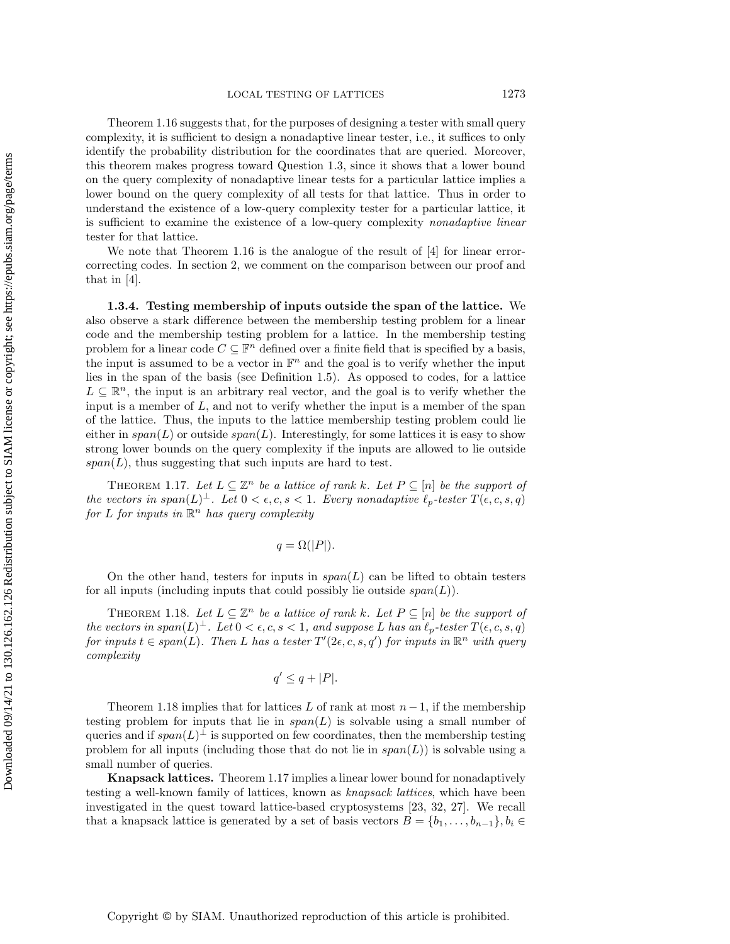Theorem [1.16](#page-7-1) suggests that, for the purposes of designing a tester with small query complexity, it is sufficient to design a nonadaptive linear tester, i.e., it suffices to only identify the probability distribution for the coordinates that are queried. Moreover, this theorem makes progress toward Question [1.3,](#page-3-1) since it shows that a lower bound on the query complexity of nonadaptive linear tests for a particular lattice implies a lower bound on the query complexity of all tests for that lattice. Thus in order to understand the existence of a low-query complexity tester for a particular lattice, it is sufficient to examine the existence of a low-query complexity nonadaptive linear tester for that lattice.

We note that Theorem [1.16](#page-7-1) is the analogue of the result of [\[4\]](#page-29-8) for linear errorcorrecting codes. In section [2,](#page-9-0) we comment on the comparison between our proof and that in [\[4\]](#page-29-8).

1.3.4. Testing membership of inputs outside the span of the lattice. We also observe a stark difference between the membership testing problem for a linear code and the membership testing problem for a lattice. In the membership testing problem for a linear code  $C \subseteq \mathbb{F}^n$  defined over a finite field that is specified by a basis, the input is assumed to be a vector in  $\mathbb{F}^n$  and the goal is to verify whether the input lies in the span of the basis (see Definition [1.5\)](#page-4-0). As opposed to codes, for a lattice  $L \subseteq \mathbb{R}^n$ , the input is an arbitrary real vector, and the goal is to verify whether the input is a member of  $L$ , and not to verify whether the input is a member of the span of the lattice. Thus, the inputs to the lattice membership testing problem could lie either in  $span(L)$  or outside  $span(L)$ . Interestingly, for some lattices it is easy to show strong lower bounds on the query complexity if the inputs are allowed to lie outside  $span(L)$ , thus suggesting that such inputs are hard to test.

<span id="page-8-1"></span>THEOREM 1.17. Let  $L \subseteq \mathbb{Z}^n$  be a lattice of rank k. Let  $P \subseteq [n]$  be the support of the vectors in span $(L)^{\perp}$ . Let  $0 < \epsilon, c, s < 1$ . Every nonadaptive  $\ell_p$ -tester  $T(\epsilon, c, s, q)$ for L for inputs in  $\mathbb{R}^n$  has query complexity

$$
q = \Omega(|P|).
$$

On the other hand, testers for inputs in  $span(L)$  can be lifted to obtain testers for all inputs (including inputs that could possibly lie outside  $span(L)$ ).

<span id="page-8-0"></span>THEOREM 1.18. Let  $L \subseteq \mathbb{Z}^n$  be a lattice of rank k. Let  $P \subseteq [n]$  be the support of the vectors in span $(L)^{\perp}$ . Let  $0 < \epsilon, c, s < 1$ , and suppose L has an  $\ell_p$ -tester  $T(\epsilon, c, s, q)$ for inputs  $t \in span(L)$ . Then L has a tester  $T'(2\epsilon, c, s, q')$  for inputs in  $\mathbb{R}^n$  with query complexity

$$
q' \le q + |P|.
$$

Theorem [1.18](#page-8-0) implies that for lattices L of rank at most  $n-1$ , if the membership testing problem for inputs that lie in  $span(L)$  is solvable using a small number of queries and if  $span(L)^{\perp}$  is supported on few coordinates, then the membership testing problem for all inputs (including those that do not lie in  $span(L)$ ) is solvable using a small number of queries.

Knapsack lattices. Theorem [1.17](#page-8-1) implies a linear lower bound for nonadaptively testing a well-known family of lattices, known as knapsack lattices, which have been investigated in the quest toward lattice-based cryptosystems [\[23,](#page-30-18) [32,](#page-30-19) [27\]](#page-30-20). We recall that a knapsack lattice is generated by a set of basis vectors  $B = \{b_1, \ldots, b_{n-1}\}, b_i \in$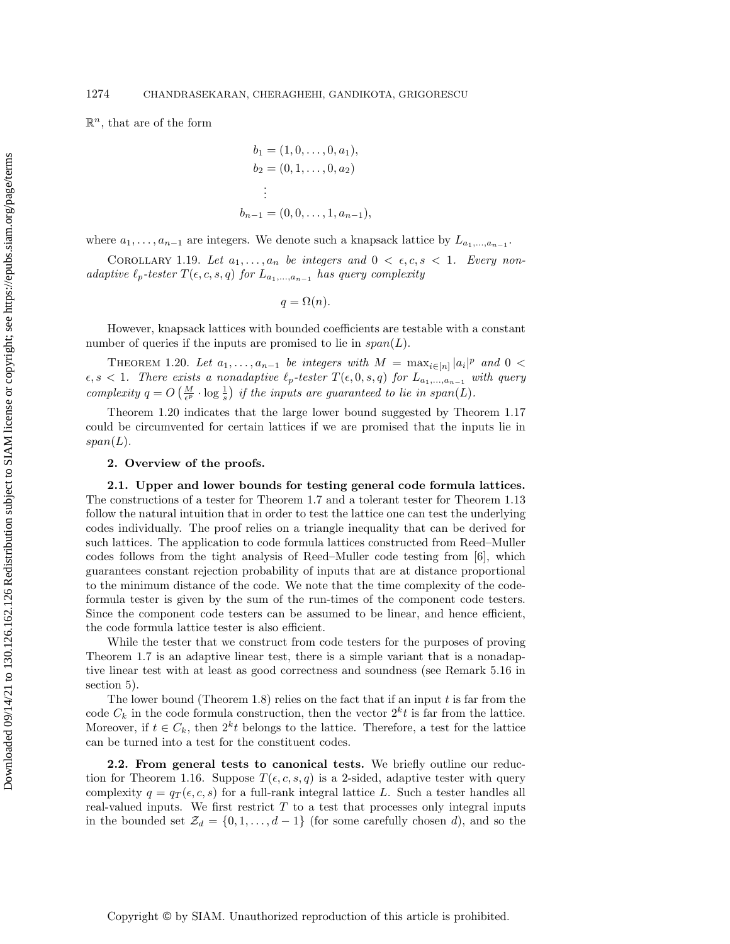$\mathbb{R}^n$ , that are of the form

$$
b_1 = (1, 0, \dots, 0, a_1),
$$
  
\n
$$
b_2 = (0, 1, \dots, 0, a_2)
$$
  
\n
$$
\vdots
$$
  
\n
$$
b_{n-1} = (0, 0, \dots, 1, a_{n-1}),
$$

where  $a_1, \ldots, a_{n-1}$  are integers. We denote such a knapsack lattice by  $L_{a_1, \ldots, a_{n-1}}$ .

<span id="page-9-2"></span>COROLLARY 1.19. Let  $a_1, \ldots, a_n$  be integers and  $0 \lt \epsilon, c, s \lt 1$ . Every nonadaptive  $\ell_p\text{-}tester\ T(\epsilon, c, s, q)$  for  $L_{a_1,...,a_{n-1}}$  has query complexity

$$
q = \Omega(n).
$$

However, knapsack lattices with bounded coefficients are testable with a constant number of queries if the inputs are promised to lie in  $span(L)$ .

<span id="page-9-1"></span>THEOREM 1.20. Let  $a_1, \ldots, a_{n-1}$  be integers with  $M = \max_{i \in [n]} |a_i|^p$  and  $0 <$  $\epsilon, s < 1$ . There exists a nonadaptive  $\ell_p$ -tester  $T(\epsilon, 0, s, q)$  for  $L_{a_1,...,a_{n-1}}$  with query complexity  $q = O\left(\frac{M}{\epsilon^p} \cdot \log \frac{1}{s}\right)$  if the inputs are guaranteed to lie in span(L).

Theorem [1.20](#page-9-1) indicates that the large lower bound suggested by Theorem [1.17](#page-8-1) could be circumvented for certain lattices if we are promised that the inputs lie in  $span(L).$ 

## <span id="page-9-0"></span>2. Overview of the proofs.

2.1. Upper and lower bounds for testing general code formula lattices. The constructions of a tester for Theorem [1.7](#page-5-2) and a tolerant tester for Theorem [1.13](#page-6-1) follow the natural intuition that in order to test the lattice one can test the underlying codes individually. The proof relies on a triangle inequality that can be derived for such lattices. The application to code formula lattices constructed from Reed–Muller codes follows from the tight analysis of Reed–Muller code testing from [\[6\]](#page-29-9), which guarantees constant rejection probability of inputs that are at distance proportional to the minimum distance of the code. We note that the time complexity of the codeformula tester is given by the sum of the run-times of the component code testers. Since the component code testers can be assumed to be linear, and hence efficient, the code formula lattice tester is also efficient.

While the tester that we construct from code testers for the purposes of proving Theorem [1.7](#page-5-2) is an adaptive linear test, there is a simple variant that is a nonadaptive linear test with at least as good correctness and soundness (see Remark [5.16](#page-25-0) in section [5\)](#page-18-0).

The lower bound (Theorem [1.8\)](#page-5-1) relies on the fact that if an input  $t$  is far from the code  $C_k$  in the code formula construction, then the vector  $2^k t$  is far from the lattice. Moreover, if  $t \in C_k$ , then  $2^k t$  belongs to the lattice. Therefore, a test for the lattice can be turned into a test for the constituent codes.

2.2. From general tests to canonical tests. We briefly outline our reduc-tion for Theorem [1.16.](#page-7-1) Suppose  $T(\epsilon, c, s, q)$  is a 2-sided, adaptive tester with query complexity  $q = q_T(\epsilon, c, s)$  for a full-rank integral lattice L. Such a tester handles all real-valued inputs. We first restrict  $T$  to a test that processes only integral inputs in the bounded set  $\mathcal{Z}_d = \{0, 1, \ldots, d-1\}$  (for some carefully chosen d), and so the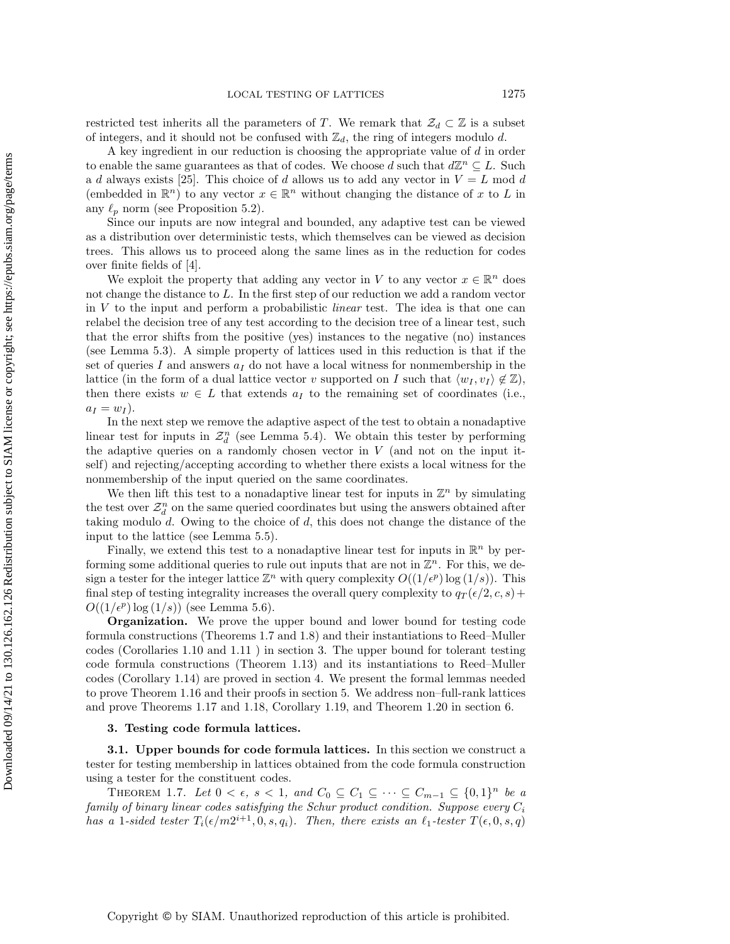restricted test inherits all the parameters of T. We remark that  $\mathcal{Z}_d \subset \mathbb{Z}$  is a subset of integers, and it should not be confused with  $\mathbb{Z}_d$ , the ring of integers modulo d.

A key ingredient in our reduction is choosing the appropriate value of d in order to enable the same guarantees as that of codes. We choose d such that  $d\mathbb{Z}^n \subseteq L$ . Such a d always exists [\[25\]](#page-30-21). This choice of d allows us to add any vector in  $V = L \text{ mod } d$ (embedded in  $\mathbb{R}^n$ ) to any vector  $x \in \mathbb{R}^n$  without changing the distance of x to L in any  $\ell_p$  norm (see Proposition [5.2\)](#page-18-1).

Since our inputs are now integral and bounded, any adaptive test can be viewed as a distribution over deterministic tests, which themselves can be viewed as decision trees. This allows us to proceed along the same lines as in the reduction for codes over finite fields of [\[4\]](#page-29-8).

We exploit the property that adding any vector in V to any vector  $x \in \mathbb{R}^n$  does not change the distance to L. In the first step of our reduction we add a random vector in  $V$  to the input and perform a probabilistic *linear* test. The idea is that one can relabel the decision tree of any test according to the decision tree of a linear test, such that the error shifts from the positive (yes) instances to the negative (no) instances (see Lemma [5.3\)](#page-19-0). A simple property of lattices used in this reduction is that if the set of queries  $I$  and answers  $a_I$  do not have a local witness for nonmembership in the lattice (in the form of a dual lattice vector v supported on I such that  $\langle w_I, v_I \rangle \notin \mathbb{Z}$ ), then there exists  $w \in L$  that extends  $a_I$  to the remaining set of coordinates (i.e.,  $a_I = w_I$ .

In the next step we remove the adaptive aspect of the test to obtain a nonadaptive linear test for inputs in  $\mathcal{Z}_d^n$  (see Lemma [5.4\)](#page-19-1). We obtain this tester by performing the adaptive queries on a randomly chosen vector in  $V$  (and not on the input itself) and rejecting/accepting according to whether there exists a local witness for the nonmembership of the input queried on the same coordinates.

We then lift this test to a nonadaptive linear test for inputs in  $\mathbb{Z}^n$  by simulating the test over  $\mathcal{Z}_d^n$  on the same queried coordinates but using the answers obtained after taking modulo d. Owing to the choice of d, this does not change the distance of the input to the lattice (see Lemma [5.5\)](#page-19-2).

Finally, we extend this test to a nonadaptive linear test for inputs in  $\mathbb{R}^n$  by performing some additional queries to rule out inputs that are not in  $\mathbb{Z}^n$ . For this, we design a tester for the integer lattice  $\mathbb{Z}^n$  with query complexity  $O((1/\epsilon^p) \log(1/s))$ . This final step of testing integrality increases the overall query complexity to  $q_T(\epsilon/2, c, s)$  +  $O((1/\epsilon^p) \log(1/s))$  (see Lemma [5.6\)](#page-19-3).

Organization. We prove the upper bound and lower bound for testing code formula constructions (Theorems [1.7](#page-5-2) and [1.8\)](#page-5-1) and their instantiations to Reed–Muller codes (Corollaries [1.10](#page-5-0) and [1.11](#page-6-0) ) in section [3.](#page-10-0) The upper bound for tolerant testing code formula constructions (Theorem [1.13\)](#page-6-1) and its instantiations to Reed–Muller codes (Corollary [1.14\)](#page-6-2) are proved in section [4.](#page-15-0) We present the formal lemmas needed to prove Theorem [1.16](#page-7-1) and their proofs in section [5.](#page-18-0) We address non–full-rank lattices and prove Theorems [1.17](#page-8-1) and [1.18,](#page-8-0) Corollary [1.19,](#page-9-2) and Theorem [1.20](#page-9-1) in section [6.](#page-26-0)

#### <span id="page-10-0"></span>3. Testing code formula lattices.

<span id="page-10-1"></span>3.1. Upper bounds for code formula lattices. In this section we construct a tester for testing membership in lattices obtained from the code formula construction using a tester for the constituent codes.

THEOREM 1.7. Let  $0 < \epsilon$ ,  $s < 1$ , and  $C_0 \subseteq C_1 \subseteq \cdots \subseteq C_{m-1} \subseteq \{0,1\}^n$  be a family of binary linear codes satisfying the Schur product condition. Suppose every  $C_i$ has a 1-sided tester  $T_i(\epsilon/m2^{i+1},0,s,q_i)$ . Then, there exists an  $\ell_1$ -tester  $T(\epsilon, 0, s, q)$ 

Downloaded 09/14/21 to 130.126.162.126 Redistribution subject to SIAM license or copyright; see https://epubs.siam.org/page/terms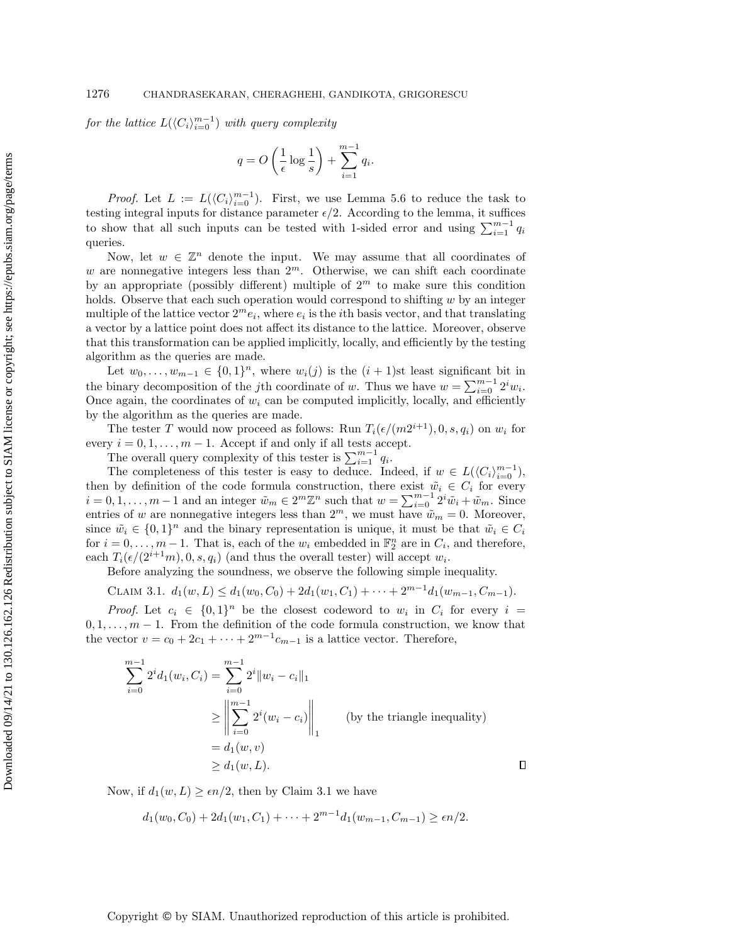for the lattice  $L(\langle C_i \rangle_{i=0}^{m-1})$  with query complexity

$$
q = O\left(\frac{1}{\epsilon}\log\frac{1}{s}\right) + \sum_{i=1}^{m-1} q_i.
$$

*Proof.* Let  $L := L(\langle C_i \rangle_{i=0}^{m-1})$ . First, we use Lemma [5.6](#page-19-3) to reduce the task to testing integral inputs for distance parameter  $\epsilon/2$ . According to the lemma, it suffices to show that all such inputs can be tested with 1-sided error and using  $\sum_{i=1}^{m-1} q_i$ queries.

Now, let  $w \in \mathbb{Z}^n$  denote the input. We may assume that all coordinates of w are nonnegative integers less than  $2^m$ . Otherwise, we can shift each coordinate by an appropriate (possibly different) multiple of  $2<sup>m</sup>$  to make sure this condition holds. Observe that each such operation would correspond to shifting  $w$  by an integer multiple of the lattice vector  $2^m e_i$ , where  $e_i$  is the *i*th basis vector, and that translating a vector by a lattice point does not affect its distance to the lattice. Moreover, observe that this transformation can be applied implicitly, locally, and efficiently by the testing algorithm as the queries are made.

Let  $w_0, \ldots, w_{m-1} \in \{0,1\}^n$ , where  $w_i(j)$  is the  $(i + 1)$ st least significant bit in the binary decomposition of the jth coordinate of w. Thus we have  $w = \sum_{i=0}^{m-1} 2^i w_i$ . Once again, the coordinates of  $w_i$  can be computed implicitly, locally, and efficiently by the algorithm as the queries are made.

The tester T would now proceed as follows: Run  $T_i(\epsilon/(m2^{i+1}), 0, s, q_i)$  on  $w_i$  for every  $i = 0, 1, \ldots, m - 1$ . Accept if and only if all tests accept.

The overall query complexity of this tester is  $\sum_{i=1}^{m-1} q_i$ .

The completeness of this tester is easy to deduce. Indeed, if  $w \in L(\langle C_i \rangle_{i=0}^{m-1}),$ then by definition of the code formula construction, there exist  $\tilde{w}_i \in C_i$  for every  $i = 0, 1, \ldots, m-1$  and an integer  $\tilde{w}_m \in 2^m \mathbb{Z}^n$  such that  $w = \sum_{i=0}^{m-1} 2^i \tilde{w}_i + \tilde{w}_m$ . Since entries of w are nonnegative integers less than  $2^m$ , we must have  $\tilde{w}_m = 0$ . Moreover, since  $\tilde{w}_i \in \{0,1\}^n$  and the binary representation is unique, it must be that  $\tilde{w}_i \in C_i$ for  $i = 0, \ldots, m-1$ . That is, each of the  $w_i$  embedded in  $\mathbb{F}_2^n$  are in  $C_i$ , and therefore, each  $T_i(\epsilon/(2^{i+1}m), 0, s, q_i)$  (and thus the overall tester) will accept  $w_i$ .

Before analyzing the soundness, we observe the following simple inequality.

<span id="page-11-0"></span>CLAIM 3.1.  $d_1(w, L) \leq d_1(w_0, C_0) + 2d_1(w_1, C_1) + \cdots + 2^{m-1}d_1(w_{m-1}, C_{m-1}).$ 

*Proof.* Let  $c_i \in \{0,1\}^n$  be the closest codeword to  $w_i$  in  $C_i$  for every  $i =$  $0, 1, \ldots, m-1$ . From the definition of the code formula construction, we know that the vector  $v = c_0 + 2c_1 + \cdots + 2^{m-1}c_{m-1}$  is a lattice vector. Therefore,

$$
\sum_{i=0}^{m-1} 2^{i} d_{1}(w_{i}, C_{i}) = \sum_{i=0}^{m-1} 2^{i} \|w_{i} - c_{i}\|_{1}
$$
\n
$$
\geq \left\| \sum_{i=0}^{m-1} 2^{i} (w_{i} - c_{i}) \right\|_{1}
$$
\n(by the triangle inequality)\n
$$
= d_{1}(w, v)
$$
\n
$$
\geq d_{1}(w, L).
$$

Now, if  $d_1(w, L) \geq \epsilon n/2$ , then by Claim [3.1](#page-11-0) we have

$$
d_1(w_0, C_0) + 2d_1(w_1, C_1) + \cdots + 2^{m-1}d_1(w_{m-1}, C_{m-1}) \ge \epsilon n/2.
$$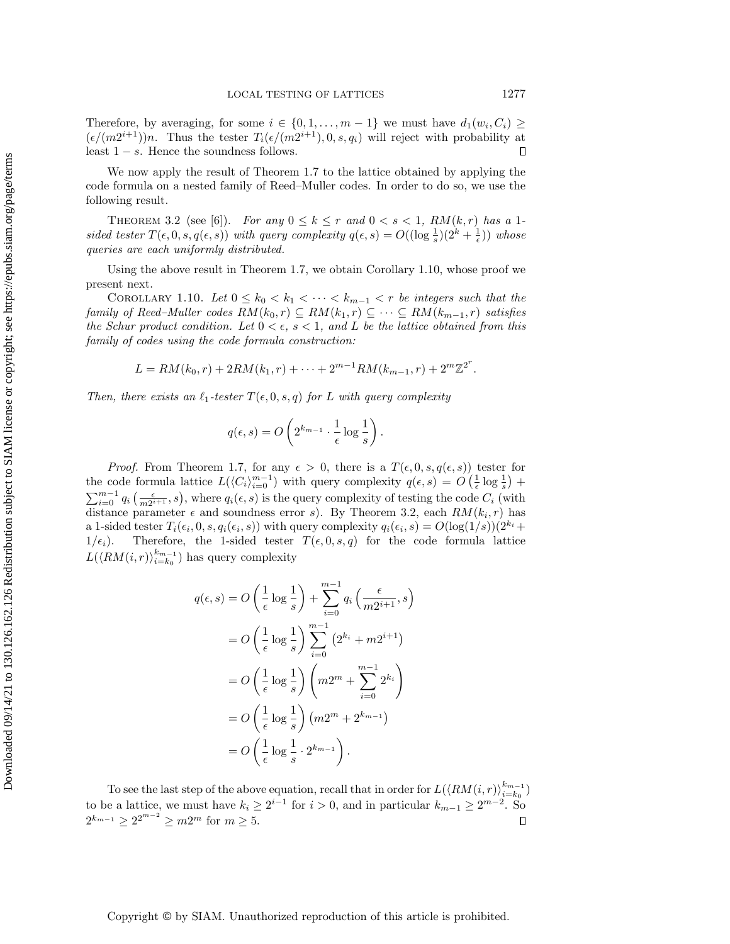Therefore, by averaging, for some  $i \in \{0, 1, \ldots, m-1\}$  we must have  $d_1(w_i, C_i) \geq$  $(\epsilon/(m2^{i+1}))n$ . Thus the tester  $T_i(\epsilon/(m2^{i+1}), 0, s, q_i)$  will reject with probability at least  $1 - s$ . Hence the soundness follows.  $\Box$ 

We now apply the result of Theorem [1.7](#page-5-2) to the lattice obtained by applying the code formula on a nested family of Reed–Muller codes. In order to do so, we use the following result.

<span id="page-12-0"></span>THEOREM 3.2 (see [\[6\]](#page-29-9)). For any  $0 \le k \le r$  and  $0 < s < 1$ ,  $RM(k,r)$  has a 1sided tester  $T(\epsilon, 0, s, q(\epsilon, s))$  with query complexity  $q(\epsilon, s) = O((\log \frac{1}{s})(2^k + \frac{1}{\epsilon}))$  whose queries are each uniformly distributed.

Using the above result in Theorem [1.7,](#page-5-2) we obtain Corollary [1.10,](#page-5-0) whose proof we present next.

COROLLARY 1.10. Let  $0 \leq k_0 < k_1 < \cdots < k_{m-1} < r$  be integers such that the family of Reed–Muller codes  $RM(k_0, r) \subseteq RM(k_1, r) \subseteq \cdots \subseteq RM(k_{m-1}, r)$  satisfies the Schur product condition. Let  $0 < \epsilon$ ,  $s < 1$ , and L be the lattice obtained from this family of codes using the code formula construction:

$$
L = RM(k_0, r) + 2RM(k_1, r) + \cdots + 2^{m-1}RM(k_{m-1}, r) + 2^m \mathbb{Z}^{2^r}.
$$

Then, there exists an  $\ell_1$ -tester  $T(\epsilon, 0, s, q)$  for L with query complexity

$$
q(\epsilon, s) = O\left(2^{k_{m-1}} \cdot \frac{1}{\epsilon} \log \frac{1}{s}\right).
$$

*Proof.* From Theorem [1.7,](#page-5-2) for any  $\epsilon > 0$ , there is a  $T(\epsilon, 0, s, q(\epsilon, s))$  tester for the code formula lattice  $L(\langle C_i \rangle_{i=0}^{m-1})$  with query complexity  $q(\epsilon, s) = O\left(\frac{1}{\epsilon} \log \frac{1}{s}\right)$  +  $\sum_{i=0}^{m-1} q_i \left( \frac{\epsilon}{m2^{i+1}}, s \right)$ , where  $q_i(\epsilon, s)$  is the query complexity of testing the code  $C_i$  (with distance parameter  $\epsilon$  and soundness error s). By Theorem [3.2,](#page-12-0) each  $RM(k_i, r)$  has a 1-sided tester  $T_i(\epsilon_i, 0, s, q_i(\epsilon_i, s))$  with query complexity  $q_i(\epsilon_i, s) = O(\log(1/s))(2^{k_i} +$  $1/\epsilon_i$ ). Therefore, the 1-sided tester  $T(\epsilon, 0, s, q)$  for the code formula lattice  $L(\langle RM(i, r) \rangle_{i=k_0}^{k_{m-1}})$  $\binom{k_{m-1}}{i=k_0}$  has query complexity

$$
q(\epsilon, s) = O\left(\frac{1}{\epsilon}\log\frac{1}{s}\right) + \sum_{i=0}^{m-1} q_i \left(\frac{\epsilon}{m2^{i+1}}, s\right)
$$
  

$$
= O\left(\frac{1}{\epsilon}\log\frac{1}{s}\right) \sum_{i=0}^{m-1} \left(2^{k_i} + m2^{i+1}\right)
$$
  

$$
= O\left(\frac{1}{\epsilon}\log\frac{1}{s}\right) \left(m2^m + \sum_{i=0}^{m-1} 2^{k_i}\right)
$$
  

$$
= O\left(\frac{1}{\epsilon}\log\frac{1}{s}\right) \left(m2^m + 2^{k_{m-1}}\right)
$$
  

$$
= O\left(\frac{1}{\epsilon}\log\frac{1}{s}\cdot 2^{k_{m-1}}\right).
$$

To see the last step of the above equation, recall that in order for  $L(\langle RM(i, r) \rangle_{i=k_0}^{k_{m-1}})$ to see the last step of the above equation, recall that in order for  $E(\lambda t, m(t, t))_{i=k_0}$  to be a lattice, we must have  $k_i \ge 2^{i-1}$  for  $i > 0$ , and in particular  $k_{m-1} \ge 2^{m-2}$ . So  $2^{k_{m-1}} \geq 2^{2^{m-2}} \geq m2^m$  for  $m \geq 5$ .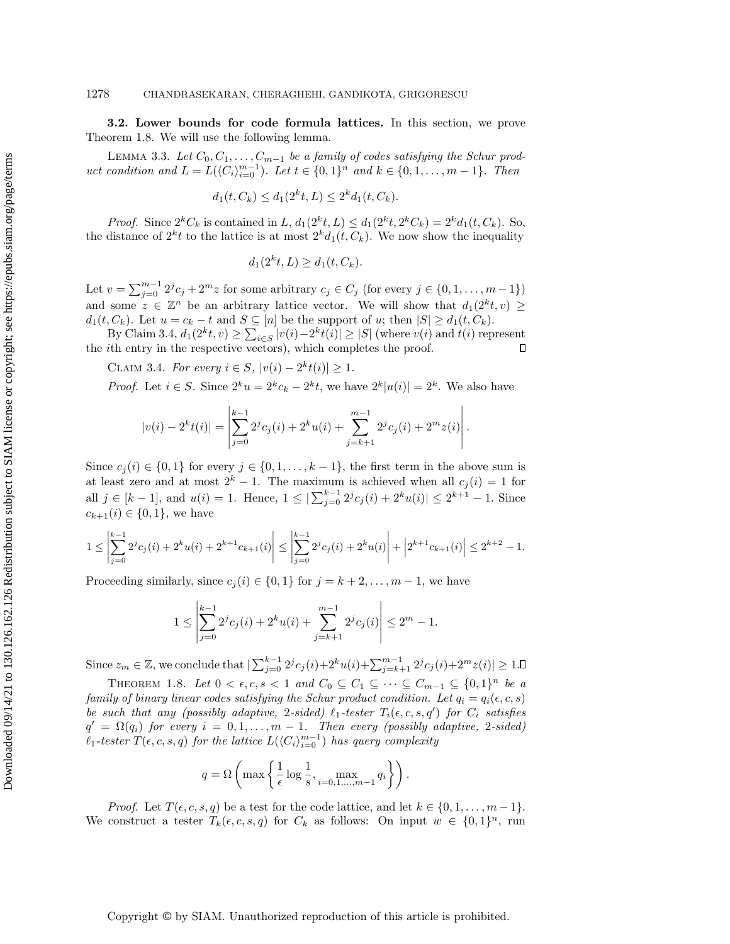3.2. Lower bounds for code formula lattices. In this section, we prove Theorem [1.8.](#page-5-1) We will use the following lemma.

LEMMA 3.3. Let  $C_0, C_1, \ldots, C_{m-1}$  be a family of codes satisfying the Schur product condition and  $L = L(\langle C_i \rangle_{i=0}^{m-1})$ . Let  $t \in \{0,1\}^n$  and  $k \in \{0,1,\ldots,m-1\}$ . Then

<span id="page-13-1"></span>
$$
d_1(t, C_k) \le d_1(2^k t, L) \le 2^k d_1(t, C_k).
$$

*Proof.* Since  $2^{k}C_{k}$  is contained in L,  $d_{1}(2^{k}t, L) \leq d_{1}(2^{k}t, 2^{k}C_{k}) = 2^{k}d_{1}(t, C_{k})$ . So, the distance of  $2^k t$  to the lattice is at most  $2^k d_1(t, C_k)$ . We now show the inequality

$$
d_1(2^k t, L) \ge d_1(t, C_k).
$$

Let  $v = \sum_{j=0}^{m-1} 2^j c_j + 2^m z$  for some arbitrary  $c_j \in C_j$  (for every  $j \in \{0, 1, \ldots, m-1\}$ ) and some  $z \in \mathbb{Z}^n$  be an arbitrary lattice vector. We will show that  $d_1(2^k t, v) \geq$  $d_1(t, C_k)$ . Let  $u = c_k - t$  and  $S \subseteq [n]$  be the support of u; then  $|S| \ge d_1(t, C_k)$ .

By Claim [3.4,](#page-13-0)  $d_1(2^k t, v) \ge \sum_{i \in S} |v(i) - 2^k t(i)| \ge |S|$  (where  $v(i)$  and  $t(i)$  represent the ith entry in the respective vectors), which completes the proof.  $\Box$ 

<span id="page-13-0"></span>CLAIM 3.4. For every  $i \in S$ ,  $|v(i) - 2<sup>k</sup> t(i)| \ge 1$ .

*Proof.* Let  $i \in S$ . Since  $2^k u = 2^k c_k - 2^k t$ , we have  $2^k |u(i)| = 2^k$ . We also have

$$
|v(i) - 2^{k}t(i)| = \left| \sum_{j=0}^{k-1} 2^{j}c_{j}(i) + 2^{k}u(i) + \sum_{j=k+1}^{m-1} 2^{j}c_{j}(i) + 2^{m}z(i) \right|.
$$

Since  $c_i(i) \in \{0,1\}$  for every  $j \in \{0,1,\ldots,k-1\}$ , the first term in the above sum is at least zero and at most  $2^k - 1$ . The maximum is achieved when all  $c_i(i) = 1$  for all  $j \in [k-1]$ , and  $u(i) = 1$ . Hence,  $1 \leq |\sum_{j=0}^{k-1} 2^{j} c_j(i) + 2^{k} u(i)| \leq 2^{k+1} - 1$ . Since  $c_{k+1}(i) \in \{0,1\}$ , we have

$$
1 \le \left| \sum_{j=0}^{k-1} 2^j c_j(i) + 2^k u(i) + 2^{k+1} c_{k+1}(i) \right| \le \left| \sum_{j=0}^{k-1} 2^j c_j(i) + 2^k u(i) \right| + \left| 2^{k+1} c_{k+1}(i) \right| \le 2^{k+2} - 1.
$$

Proceeding similarly, since  $c_j(i) \in \{0,1\}$  for  $j = k+2, \ldots, m-1$ , we have

$$
1 \le \left| \sum_{j=0}^{k-1} 2^{j} c_j(i) + 2^{k} u(i) + \sum_{j=k+1}^{m-1} 2^{j} c_j(i) \right| \le 2^{m} - 1.
$$

Since  $z_m \in \mathbb{Z}$ , we conclude that  $|\sum_{j=0}^{k-1} 2^j c_j(i) + 2^k u(i) + \sum_{j=k+1}^{m-1} 2^j c_j(i) + 2^m z(i)| \ge 1$ .

THEOREM 1.8. Let  $0 < \epsilon, c, s < 1$  and  $C_0 \subseteq C_1 \subseteq \cdots \subseteq C_{m-1} \subseteq \{0,1\}^n$  be a family of binary linear codes satisfying the Schur product condition. Let  $q_i = q_i(\epsilon, c, s)$ be such that any (possibly adaptive, 2-sided)  $\ell_1$ -tester  $T_i(\epsilon, c, s, q')$  for  $C_i$  satisfies  $q' = \Omega(q_i)$  for every  $i = 0, 1, \ldots, m - 1$ . Then every (possibly adaptive, 2-sided)  $\ell_1$ -tester  $T(\epsilon, c, s, q)$  for the lattice  $L(\langle C_i \rangle_{i=0}^{m-1})$  has query complexity

$$
q = \Omega\left(\max\left\{\frac{1}{\epsilon}\log\frac{1}{s}, \max_{i=0,1,\dots,m-1} q_i\right\}\right).
$$

*Proof.* Let  $T(\epsilon, c, s, q)$  be a test for the code lattice, and let  $k \in \{0, 1, \ldots, m-1\}$ . We construct a tester  $T_k(\epsilon, c, s, q)$  for  $C_k$  as follows: On input  $w \in \{0, 1\}^n$ , run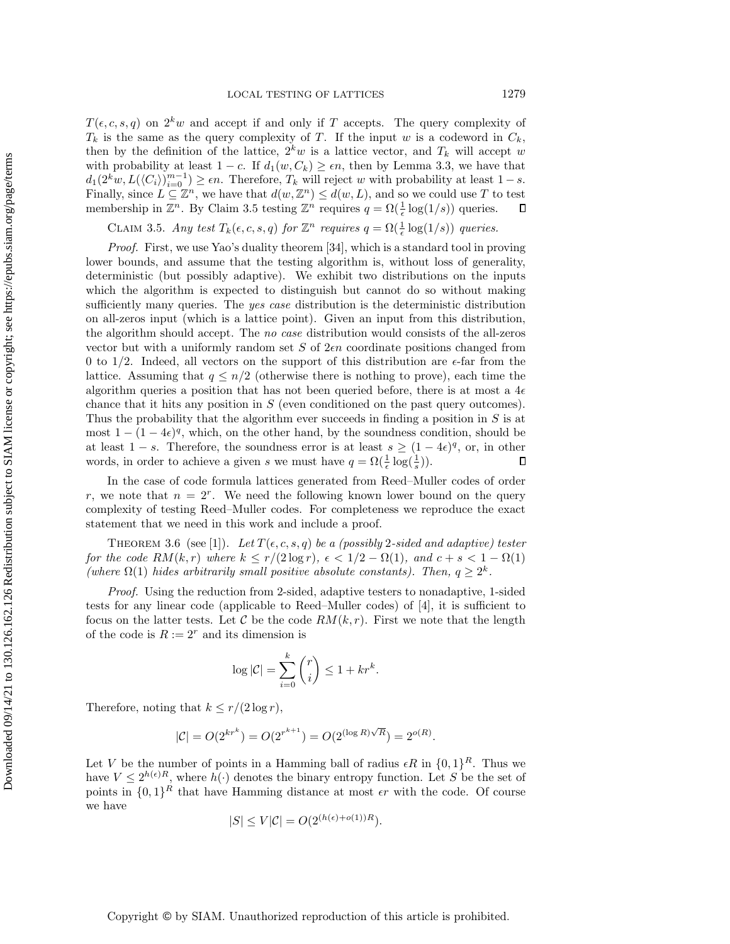$T(\epsilon, c, s, q)$  on  $2^k w$  and accept if and only if T accepts. The query complexity of  $T_k$  is the same as the query complexity of T. If the input w is a codeword in  $C_k$ , then by the definition of the lattice,  $2<sup>k</sup>w$  is a lattice vector, and  $T<sub>k</sub>$  will accept w with probability at least  $1 - c$ . If  $d_1(w, C_k) \geq \epsilon n$ , then by Lemma [3.3,](#page-13-1) we have that  $d_1(2^k w, L(\langle C_i \rangle)_{i=0}^{m-1}) \ge \epsilon n$ . Therefore,  $T_k$  will reject w with probability at least  $1-s$ . Finally, since  $L \subseteq \mathbb{Z}^n$ , we have that  $d(w, \mathbb{Z}^n) \leq d(w, L)$ , and so we could use T to test membership in  $\mathbb{Z}^n$ . By Claim [3.5](#page-14-0) testing  $\mathbb{Z}^n$  requires  $q = \Omega(\frac{1}{\epsilon} \log(1/s))$  queries.  $\Box$ 

CLAIM 3.5. Any test  $T_k(\epsilon, c, s, q)$  for  $\mathbb{Z}^n$  requires  $q = \Omega(\frac{1}{\epsilon} \log(1/s))$  queries.

<span id="page-14-0"></span>Proof. First, we use Yao's duality theorem [\[34\]](#page-30-22), which is a standard tool in proving lower bounds, and assume that the testing algorithm is, without loss of generality, deterministic (but possibly adaptive). We exhibit two distributions on the inputs which the algorithm is expected to distinguish but cannot do so without making sufficiently many queries. The yes case distribution is the deterministic distribution on all-zeros input (which is a lattice point). Given an input from this distribution, the algorithm should accept. The no case distribution would consists of the all-zeros vector but with a uniformly random set  $S$  of  $2\epsilon n$  coordinate positions changed from 0 to 1/2. Indeed, all vectors on the support of this distribution are  $\epsilon$ -far from the lattice. Assuming that  $q \leq n/2$  (otherwise there is nothing to prove), each time the algorithm queries a position that has not been queried before, there is at most a  $4\epsilon$ chance that it hits any position in S (even conditioned on the past query outcomes). Thus the probability that the algorithm ever succeeds in finding a position in S is at most  $1 - (1 - 4\epsilon)^q$ , which, on the other hand, by the soundness condition, should be at least  $1 - s$ . Therefore, the soundness error is at least  $s \ge (1 - 4\epsilon)^q$ , or, in other words, in order to achieve a given s we must have  $q = \Omega(\frac{1}{\epsilon} \log(\frac{1}{s}))$ .  $\Box$ 

In the case of code formula lattices generated from Reed–Muller codes of order r, we note that  $n = 2^r$ . We need the following known lower bound on the query complexity of testing Reed–Muller codes. For completeness we reproduce the exact statement that we need in this work and include a proof.

<span id="page-14-1"></span>THEOREM 3.6 (see [\[1\]](#page-29-10)). Let  $T(\epsilon, c, s, q)$  be a (possibly 2-sided and adaptive) tester for the code  $RM(k,r)$  where  $k \leq r/(2 \log r)$ ,  $\epsilon < 1/2 - \Omega(1)$ , and  $c + s < 1 - \Omega(1)$ (where  $\Omega(1)$  hides arbitrarily small positive absolute constants). Then,  $q \geq 2^k$ .

Proof. Using the reduction from 2-sided, adaptive testers to nonadaptive, 1-sided tests for any linear code (applicable to Reed–Muller codes) of [\[4\]](#page-29-8), it is sufficient to focus on the latter tests. Let  $C$  be the code  $RM(k, r)$ . First we note that the length of the code is  $R := 2^r$  and its dimension is

$$
\log |\mathcal{C}| = \sum_{i=0}^k \binom{r}{i} \le 1 + kr^k.
$$

Therefore, noting that  $k \leq r/(2 \log r)$ ,

$$
|\mathcal{C}| = O(2^{kr^k}) = O(2^{r^{k+1}}) = O(2^{(\log R)\sqrt{R}}) = 2^{o(R)}.
$$

Let V be the number of points in a Hamming ball of radius  $\epsilon R$  in  $\{0,1\}^R$ . Thus we have  $V \leq 2^{h(\epsilon)R}$ , where  $h(\cdot)$  denotes the binary entropy function. Let S be the set of points in  $\{0,1\}^R$  that have Hamming distance at most  $\epsilon r$  with the code. Of course we have

$$
|S| \le V|\mathcal{C}| = O(2^{(h(\epsilon) + o(1))R}).
$$

## Copyright © by SIAM. Unauthorized reproduction of this article is prohibited.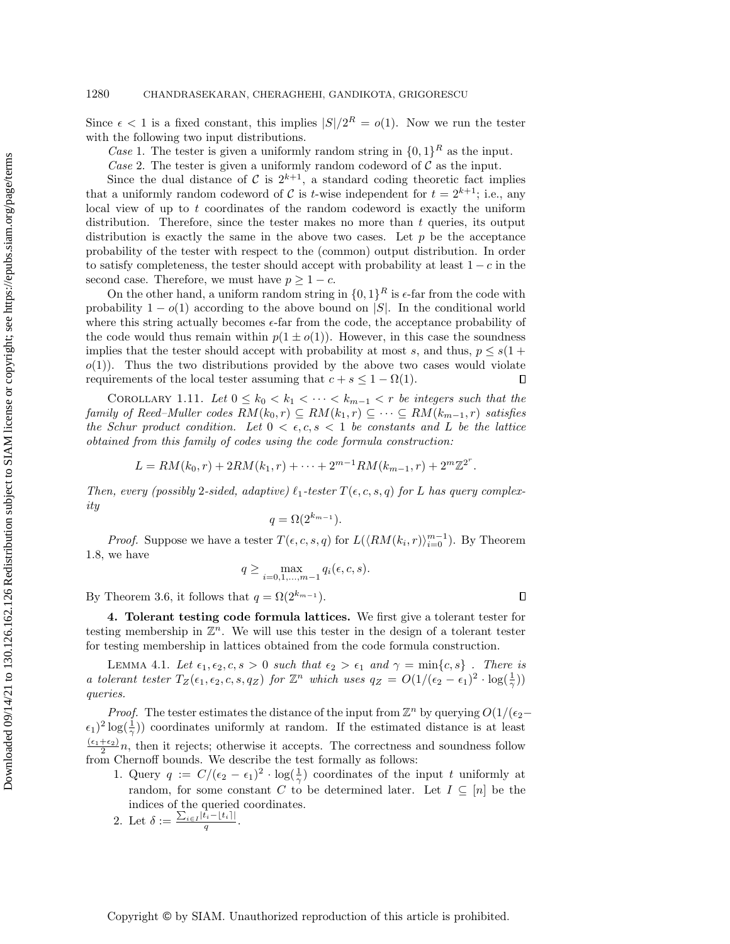Since  $\epsilon$  < 1 is a fixed constant, this implies  $|S|/2^R = o(1)$ . Now we run the tester with the following two input distributions.

Case 1. The tester is given a uniformly random string in  $\{0,1\}^R$  as the input.

Case 2. The tester is given a uniformly random codeword of  $\mathcal C$  as the input.

Since the dual distance of C is  $2^{k+1}$ , a standard coding theoretic fact implies that a uniformly random codeword of C is t-wise independent for  $t = 2^{k+1}$ ; i.e., any local view of up to  $t$  coordinates of the random codeword is exactly the uniform distribution. Therefore, since the tester makes no more than  $t$  queries, its output distribution is exactly the same in the above two cases. Let  $p$  be the acceptance probability of the tester with respect to the (common) output distribution. In order to satisfy completeness, the tester should accept with probability at least  $1 - c$  in the second case. Therefore, we must have  $p \geq 1 - c$ .

On the other hand, a uniform random string in  $\{0,1\}^R$  is  $\epsilon$ -far from the code with probability  $1 - o(1)$  according to the above bound on |S|. In the conditional world where this string actually becomes  $\epsilon$ -far from the code, the acceptance probability of the code would thus remain within  $p(1 \pm o(1))$ . However, in this case the soundness implies that the tester should accept with probability at most s, and thus,  $p \leq s(1 +$  $o(1)$ ). Thus the two distributions provided by the above two cases would violate requirements of the local tester assuming that  $c + s \leq 1 - \Omega(1)$ .  $\Box$ 

COROLLARY 1.11. Let  $0 \leq k_0 < k_1 < \cdots < k_{m-1} < r$  be integers such that the family of Reed–Muller codes  $RM(k_0, r) \subseteq RM(k_1, r) \subseteq \cdots \subseteq RM(k_{m-1}, r)$  satisfies the Schur product condition. Let  $0 < \epsilon, c, s < 1$  be constants and L be the lattice obtained from this family of codes using the code formula construction:

$$
L = RM(k_0, r) + 2RM(k_1, r) + \cdots + 2^{m-1}RM(k_{m-1}, r) + 2^m \mathbb{Z}^{2^r}.
$$

Then, every (possibly 2-sided, adaptive)  $\ell_1$ -tester  $T(\epsilon, c, s, q)$  for L has query complexity

$$
q = \Omega(2^{k_{m-1}}).
$$

*Proof.* Suppose we have a tester  $T(\epsilon, c, s, q)$  for  $L(\langle RM(k_i, r) \rangle_{i=0}^{m-1})$ . By Theorem [1.8,](#page-5-1) we have

$$
q \ge \max_{i=0,1,\dots,m-1} q_i(\epsilon,c,s).
$$

<span id="page-15-1"></span> $\Box$ 

By Theorem [3.6,](#page-14-1) it follows that  $q = \Omega(2^{k_{m-1}})$ .

<span id="page-15-0"></span>4. Tolerant testing code formula lattices. We first give a tolerant tester for testing membership in  $\mathbb{Z}^n$ . We will use this tester in the design of a tolerant tester for testing membership in lattices obtained from the code formula construction.

LEMMA 4.1. Let  $\epsilon_1, \epsilon_2, c, s > 0$  such that  $\epsilon_2 > \epsilon_1$  and  $\gamma = \min\{c, s\}$ . There is a tolerant tester  $T_Z(\epsilon_1, \epsilon_2, c, s, q_Z)$  for  $\mathbb{Z}^n$  which uses  $q_Z = O(1/(\epsilon_2 - \epsilon_1)^2 \cdot \log(\frac{1}{\gamma}))$ queries.

*Proof.* The tester estimates the distance of the input from  $\mathbb{Z}^n$  by querying  $O(1/(\epsilon_2 (\epsilon_1)^2 \log(\frac{1}{\gamma})$  coordinates uniformly at random. If the estimated distance is at least  $\frac{(\epsilon_1+\epsilon_2)}{2}n$ , then it rejects; otherwise it accepts. The correctness and soundness follow from Chernoff bounds. We describe the test formally as follows:

1. Query  $q := C/(\epsilon_2 - \epsilon_1)^2 \cdot \log(\frac{1}{\gamma})$  coordinates of the input t uniformly at random, for some constant C to be determined later. Let  $I \subseteq [n]$  be the indices of the queried coordinates.

2. Let 
$$
\delta := \frac{\sum_{i \in I} |t_i - t_i|}{q}
$$

.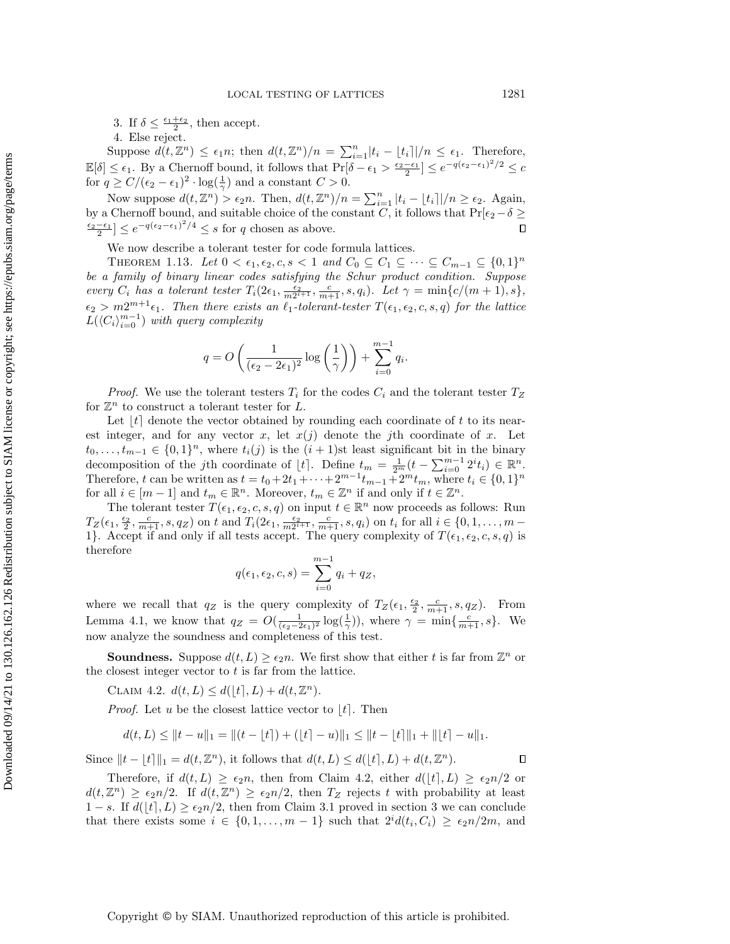3. If  $\delta \leq \frac{\epsilon_1+\epsilon_2}{2}$ , then accept.

4. Else reject.

Suppose  $d(t, \mathbb{Z}^n) \leq \epsilon_1 n$ ; then  $d(t, \mathbb{Z}^n)/n = \sum_{i=1}^n |t_i - \lfloor t_i \rfloor | /n \leq \epsilon_1$ . Therefore,  $\mathbb{E}[\delta] \leq \epsilon_1$ . By a Chernoff bound, it follows that  $\Pr[\delta - \epsilon_1 > \frac{\epsilon_2 - \epsilon_1}{2}] \leq e^{-q(\epsilon_2 - \epsilon_1)^2/2} \leq c$ for  $q \ge C/(\epsilon_2 - \epsilon_1)^2 \cdot \log(\frac{1}{\gamma})$  and a constant  $C > 0$ .

Now suppose  $d(t, \mathbb{Z}^n) > \epsilon_2 n$ . Then,  $d(t, \mathbb{Z}^n)/n = \sum_{i=1}^n |t_i - \lfloor t_i \rfloor | / n \ge \epsilon_2$ . Again, by a Chernoff bound, and suitable choice of the constant C, it follows that  $Pr[\epsilon_2 - \delta \geq 1]$  $\frac{\epsilon_2-\epsilon_1}{2} \leq e^{-q(\epsilon_2-\epsilon_1)^2/4} \leq s$  for q chosen as above.  $\Box$ 

We now describe a tolerant tester for code formula lattices.

THEOREM 1.13. Let  $0 < \epsilon_1, \epsilon_2, c, s < 1$  and  $C_0 \subseteq C_1 \subseteq \cdots \subseteq C_{m-1} \subseteq \{0,1\}^n$ be a family of binary linear codes satisfying the Schur product condition. Suppose every  $C_i$  has a tolerant tester  $T_i(2\epsilon_1, \frac{\epsilon_2}{m2^{i+1}}, \frac{c}{m+1}, s, q_i)$ . Let  $\gamma = \min\{c/(m+1), s\}$ ,  $\epsilon_2 > m2^{m+1}\epsilon_1$ . Then there exists an  $\ell_1$ -tolerant-tester  $T(\epsilon_1, \epsilon_2, c, s, q)$  for the lattice  $L(\langle C_i \rangle_{i=0}^{m-1})$  with query complexity

$$
q = O\left(\frac{1}{(\epsilon_2 - 2\epsilon_1)^2} \log\left(\frac{1}{\gamma}\right)\right) + \sum_{i=0}^{m-1} q_i.
$$

*Proof.* We use the tolerant testers  $T_i$  for the codes  $C_i$  and the tolerant tester  $T_Z$ for  $\mathbb{Z}^n$  to construct a tolerant tester for L.

Let  $|t|$  denote the vector obtained by rounding each coordinate of t to its nearest integer, and for any vector x, let  $x(j)$  denote the jth coordinate of x. Let  $t_0, \ldots, t_{m-1} \in \{0,1\}^n$ , where  $t_i(j)$  is the  $(i + 1)$ st least significant bit in the binary decomposition of the jth coordinate of  $\lfloor t \rfloor$ . Define  $t_m = \frac{1}{2^m} (t - \sum_{i=0}^{m-1} 2^i t_i) \in \mathbb{R}^n$ . Therefore, t can be written as  $t = t_0 + 2t_1 + \cdots + 2^{m-1}t_{m-1} + 2^m t_m$ , where  $t_i \in \{0, 1\}^n$ for all  $i \in [m-1]$  and  $t_m \in \mathbb{R}^n$ . Moreover,  $t_m \in \mathbb{Z}^n$  if and only if  $t \in \mathbb{Z}^n$ .

The tolerant tester  $T(\epsilon_1, \epsilon_2, c, s, q)$  on input  $t \in \mathbb{R}^n$  now proceeds as follows: Run  $T_Z(\epsilon_1, \frac{\epsilon_2}{2}, \frac{c}{m+1}, s, q_Z)$  on t and  $T_i(2\epsilon_1, \frac{\epsilon_2}{m2^{i+1}}, \frac{c}{m+1}, s, q_i)$  on  $t_i$  for all  $i \in \{0, 1, ..., m-1\}$ 1}. Accept if and only if all tests accept. The query complexity of  $T(\epsilon_1, \epsilon_2, c, s, q)$  is therefore

$$
q(\epsilon_1, \epsilon_2, c, s) = \sum_{i=0}^{m-1} q_i + q_z,
$$

where we recall that  $q_Z$  is the query complexity of  $T_Z(\epsilon_1, \frac{\epsilon_2}{2}, \frac{c}{m+1}, s, q_Z)$ . From Lemma [4.1,](#page-15-1) we know that  $q_Z = O(\frac{1}{(\epsilon_2 - 2\epsilon_1)^2} \log(\frac{1}{\gamma}))$ , where  $\gamma = \min\{\frac{c}{m+1}, s\}$ . We now analyze the soundness and completeness of this test.

**Soundness.** Suppose  $d(t, L) \ge \epsilon_2 n$ . We first show that either t is far from  $\mathbb{Z}^n$  or the closest integer vector to  $t$  is far from the lattice.

<span id="page-16-0"></span>CLAIM 4.2.  $d(t, L) \leq d(\lfloor t \rceil, L) + d(t, \mathbb{Z}^n)$ .

*Proof.* Let u be the closest lattice vector to  $\lfloor t \rfloor$ . Then

$$
d(t,L) \leq ||t - u||_1 = ||(t - \lfloor t \rfloor) + (\lfloor t \rfloor - u) ||_1 \leq ||t - \lfloor t \rfloor ||_1 + ||\lfloor t \rfloor - u ||_1.
$$

Since  $||t - \lfloor t \rceil ||_1 = d(t, \mathbb{Z}^n)$ , it follows that  $d(t, L) \leq d(\lfloor t \rceil, L) + d(t, \mathbb{Z}^n)$ .

Therefore, if  $d(t, L) \geq \epsilon_2 n$ , then from Claim [4.2,](#page-16-0) either  $d([t], L) \geq \epsilon_2 n/2$  or  $d(t, \mathbb{Z}^n) \geq \epsilon_2 n/2$ . If  $d(t, \mathbb{Z}^n) \geq \epsilon_2 n/2$ , then  $T_Z$  rejects t with probability at least  $1-s$ . If  $d(l_t), L \geq \epsilon_2 n/2$ , then from Claim [3.1](#page-11-0) proved in section [3](#page-10-0) we can conclude that there exists some  $i \in \{0, 1, ..., m-1\}$  such that  $2^{i}d(t_i, C_i) \geq \epsilon_2 n/2m$ , and

 $\Box$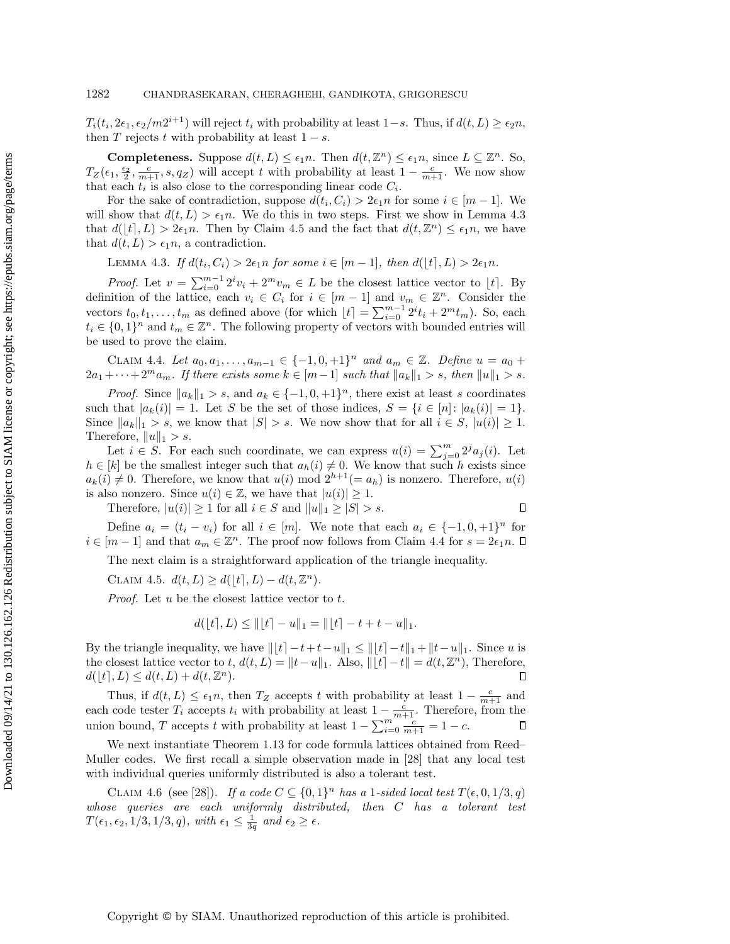$T_i(t_i, 2\epsilon_1, \epsilon_2/m2^{i+1})$  will reject  $t_i$  with probability at least  $1-s$ . Thus, if  $d(t, L) \ge \epsilon_2 n$ , then T rejects t with probability at least  $1 - s$ .

**Completeness.** Suppose  $d(t, L) \leq \epsilon_1 n$ . Then  $d(t, \mathbb{Z}^n) \leq \epsilon_1 n$ , since  $L \subseteq \mathbb{Z}^n$ . So,  $T_Z(\epsilon_1, \frac{\epsilon_2}{2}, \frac{c}{m+1}, s, q_Z)$  will accept t with probability at least  $1-\frac{c}{m+1}$ . We now show that each  $t_i$  is also close to the corresponding linear code  $C_i$ .

For the sake of contradiction, suppose  $d(t_i, C_i) > 2\epsilon_1 n$  for some  $i \in [m-1]$ . We will show that  $d(t, L) > \epsilon_1 n$ . We do this in two steps. First we show in Lemma [4.3](#page-17-0) that  $d(\lfloor t \rceil, L) > 2\epsilon_1 n$ . Then by Claim [4.5](#page-17-1) and the fact that  $d(t, \mathbb{Z}^n) \leq \epsilon_1 n$ , we have that  $d(t, L) > \epsilon_1 n$ , a contradiction.

<span id="page-17-2"></span><span id="page-17-0"></span>LEMMA 4.3. If  $d(t_i, C_i) > 2\epsilon_1 n$  for some  $i \in [m-1]$ , then  $d(\lfloor t \rceil, L) > 2\epsilon_1 n$ .

*Proof.* Let  $v = \sum_{i=0}^{m-1} 2^i v_i + 2^m v_m \in L$  be the closest lattice vector to  $\lfloor t \rfloor$ . By definition of the lattice, each  $v_i \in C_i$  for  $i \in [m-1]$  and  $v_m \in \mathbb{Z}^n$ . Consider the vectors  $t_0, t_1, \ldots, t_m$  as defined above (for which  $\lfloor t \rfloor = \sum_{i=0}^{m-1} 2^i t_i + 2^m t_m$ ). So, each  $t_i \in \{0,1\}^n$  and  $t_m \in \mathbb{Z}^n$ . The following property of vectors with bounded entries will be used to prove the claim.

CLAIM 4.4. Let  $a_0, a_1, ..., a_{m-1} \in \{-1, 0, +1\}^n$  and  $a_m \in \mathbb{Z}$ . Define  $u = a_0 +$  $2a_1 + \cdots + 2^m a_m$ . If there exists some  $k \in [m-1]$  such that  $||a_k||_1 > s$ , then  $||u||_1 > s$ .

*Proof.* Since  $||a_k||_1 > s$ , and  $a_k \in \{-1, 0, +1\}^n$ , there exist at least s coordinates such that  $|a_k(i)| = 1$ . Let S be the set of those indices,  $S = \{i \in [n]: |a_k(i)| = 1\}$ . Since  $||a_k||_1 > s$ , we know that  $|S| > s$ . We now show that for all  $i \in S$ ,  $|u(i)| \geq 1$ . Therefore,  $||u||_1 > s$ .

Let  $i \in S$ . For each such coordinate, we can express  $u(i) = \sum_{j=0}^{m} 2^{j} a_j(i)$ . Let  $h \in [k]$  be the smallest integer such that  $a_h(i) \neq 0$ . We know that such h exists since  $a_k(i) \neq 0$ . Therefore, we know that  $u(i) \mod 2^{h+1}(= a_h)$  is nonzero. Therefore,  $u(i)$ is also nonzero. Since  $u(i) \in \mathbb{Z}$ , we have that  $|u(i)| \geq 1$ .

Therefore, 
$$
|u(i)| \ge 1
$$
 for all  $i \in S$  and  $||u||_1 \ge |S| > s$ .

<span id="page-17-1"></span> $\Box$ 

Define  $a_i = (t_i - v_i)$  for all  $i \in [m]$ . We note that each  $a_i \in \{-1, 0, +1\}^n$  for  $i \in [m-1]$  and that  $a_m \in \mathbb{Z}^n$ . The proof now follows from Claim [4.4](#page-17-2) for  $s = 2\epsilon_1 n$ .

The next claim is a straightforward application of the triangle inequality.

CLAIM 4.5.  $d(t, L) \geq d(|t|, L) - d(t, \mathbb{Z}^n)$ .

Proof. Let u be the closest lattice vector to t.

$$
d([t], L) \le ||[t] - u||_1 = ||[t] - t + t - u||_1.
$$

By the triangle inequality, we have  $||[t]-t+t-u||_1 \leq ||[t]-t||_1 + ||t-u||_1$ . Since u is the closest lattice vector to t,  $d(t, L) = ||t - u||_1$ . Also,  $||[t] - t|| = d(t, \mathbb{Z}^n)$ , Therefore,  $d(|t|, L) \leq d(t, L) + d(t, \mathbb{Z}^n).$ П

Thus, if  $d(t, L) \leq \epsilon_1 n$ , then  $T_Z$  accepts t with probability at least  $1 - \frac{c}{m+1}$  and each code tester  $T_i$  accepts  $t_i$  with probability at least  $1 - \frac{c}{m+1}$ . Therefore, from the union bound, T accepts t with probability at least  $1 - \sum_{i=0}^{m} \frac{c}{m+1} = 1 - c$ .

We next instantiate Theorem [1.13](#page-6-1) for code formula lattices obtained from Reed– Muller codes. We first recall a simple observation made in [\[28\]](#page-30-12) that any local test with individual queries uniformly distributed is also a tolerant test.

<span id="page-17-3"></span>CLAIM 4.6 (see [\[28\]](#page-30-12)). If a code  $C \subseteq \{0,1\}^n$  has a 1-sided local test  $T(\epsilon, 0, 1/3, q)$ whose queries are each uniformly distributed, then C has a tolerant test  $T(\epsilon_1, \epsilon_2, 1/3, 1/3, q)$ , with  $\epsilon_1 \leq \frac{1}{3q}$  and  $\epsilon_2 \geq \epsilon$ .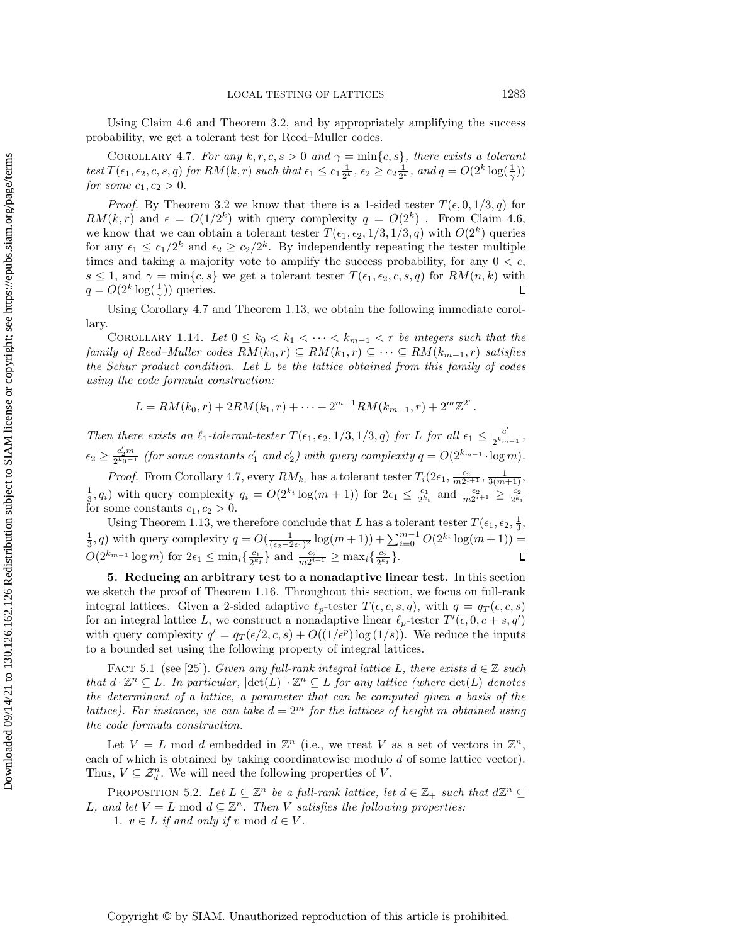<span id="page-18-2"></span>Using Claim [4.6](#page-17-3) and Theorem [3.2,](#page-12-0) and by appropriately amplifying the success probability, we get a tolerant test for Reed–Muller codes.

COROLLARY 4.7. For any  $k, r, c, s > 0$  and  $\gamma = \min\{c, s\}$ , there exists a tolerant test  $T(\epsilon_1, \epsilon_2, c, s, q)$  for  $RM(k, r)$  such that  $\epsilon_1 \leq c_1 \frac{1}{2^k}$ ,  $\epsilon_2 \geq c_2 \frac{1}{2^k}$ , and  $q = O(2^k \log(\frac{1}{\gamma}))$ for some  $c_1, c_2 > 0$ .

*Proof.* By Theorem [3.2](#page-12-0) we know that there is a 1-sided tester  $T(\epsilon, 0, 1/3, q)$  for  $RM(k,r)$  and  $\epsilon = O(1/2^k)$  with query complexity  $q = O(2^k)$ . From Claim [4.6,](#page-17-3) we know that we can obtain a tolerant tester  $T(\epsilon_1, \epsilon_2, 1/3, 1/3, q)$  with  $O(2^k)$  queries for any  $\epsilon_1 \leq c_1/2^k$  and  $\epsilon_2 \geq c_2/2^k$ . By independently repeating the tester multiple times and taking a majority vote to amplify the success probability, for any  $0 < c$ ,  $s \leq 1$ , and  $\gamma = \min\{c, s\}$  we get a tolerant tester  $T(\epsilon_1, \epsilon_2, c, s, q)$  for  $RM(n, k)$  with  $q = O(2^k \log(\frac{1}{\gamma}))$  queries.  $\Box$ 

Using Corollary [4.7](#page-18-2) and Theorem [1.13,](#page-6-1) we obtain the following immediate corollary.

COROLLARY 1.14. Let  $0 \leq k_0 < k_1 < \cdots < k_{m-1} < r$  be integers such that the family of Reed–Muller codes  $RM(k_0, r) \subseteq RM(k_1, r) \subseteq \cdots \subseteq RM(k_{m-1}, r)$  satisfies the Schur product condition. Let L be the lattice obtained from this family of codes using the code formula construction:

$$
L = RM(k_0, r) + 2RM(k_1, r) + \cdots + 2^{m-1}RM(k_{m-1}, r) + 2^m \mathbb{Z}^{2^r}.
$$

Then there exists an  $\ell_1$ -tolerant-tester  $T(\epsilon_1, \epsilon_2, 1/3, 1/3, q)$  for L for all  $\epsilon_1 \leq \frac{c'_1}{2^{k_{m-1}}}$ ,  $\epsilon_2 \geq \frac{c'_2 m}{2^{k_0-1}}$  (for some constants  $c'_1$  and  $c'_2$ ) with query complexity  $q = O(2^{k_{m-1}} \cdot \log m)$ .

*Proof.* From Corollary [4.7,](#page-18-2) every  $RM_{k_i}$  has a tolerant tester  $T_i(2\epsilon_1, \frac{\epsilon_2}{m2^{i+1}}, \frac{1}{3(m+1)},$  $\frac{1}{3}$ ,  $q_i$ ) with query complexity  $q_i = O(2^{k_i} \log(m+1))$  for  $2\epsilon_1 \leq \frac{c_1}{2^{k_i}}$  and  $\frac{\epsilon_2}{m2^{i+1}} \geq \frac{c_2}{2^{k_i}}$ for some constants  $c_1, c_2 > 0$ .

Using Theorem [1.13,](#page-6-1) we therefore conclude that L has a tolerant tester  $T(\epsilon_1, \epsilon_2, \frac{1}{3}, \epsilon_3)$  $\frac{1}{3}$ , q) with query complexity  $q = O(\frac{1}{(\epsilon_2 - 2\epsilon_1)^2} \log(m+1)) + \sum_{i=0}^{m-1} O(2^{k_i} \log(m+1)) =$  $O(2^{k_{m-1}} \log m)$  for  $2\epsilon_1 \leq \min_i \{\frac{c_1}{2^{k_i}}\}$  and  $\frac{\epsilon_2}{m2^{i+1}} \geq \max_i \{\frac{c_2}{2^{k_i}}\}.$  $\Box$ 

<span id="page-18-0"></span>5. Reducing an arbitrary test to a nonadaptive linear test. In this section we sketch the proof of Theorem [1.16.](#page-7-1) Throughout this section, we focus on full-rank integral lattices. Given a 2-sided adaptive  $\ell_p$ -tester  $T(\epsilon, c, s, q)$ , with  $q = q_T (\epsilon, c, s)$ for an integral lattice L, we construct a nonadaptive linear  $\ell_p$ -tester  $T'(\epsilon, 0, c + s, q')$ with query complexity  $q' = q_T(\epsilon/2, c, s) + O((1/\epsilon^p) \log(1/s))$ . We reduce the inputs to a bounded set using the following property of integral lattices.

FACT 5.1 (see [\[25\]](#page-30-21)). Given any full-rank integral lattice L, there exists  $d \in \mathbb{Z}$  such that  $d \cdot \mathbb{Z}^n \subseteq L$ . In particular,  $|\det(L)| \cdot \mathbb{Z}^n \subseteq L$  for any lattice (where  $\det(L)$  denotes the determinant of a lattice, a parameter that can be computed given a basis of the lattice). For instance, we can take  $d = 2^m$  for the lattices of height m obtained using the code formula construction.

Let  $V = L$  mod d embedded in  $\mathbb{Z}^n$  (i.e., we treat V as a set of vectors in  $\mathbb{Z}^n$ , each of which is obtained by taking coordinatewise modulo  $d$  of some lattice vector). Thus,  $V \subseteq \mathcal{Z}_{d}^{n}$ . We will need the following properties of V.

<span id="page-18-1"></span>PROPOSITION 5.2. Let  $L \subseteq \mathbb{Z}^n$  be a full-rank lattice, let  $d \in \mathbb{Z}_+$  such that  $d\mathbb{Z}^n \subseteq$ L, and let  $V = L \mod d \subseteq \mathbb{Z}^n$ . Then V satisfies the following properties:

1.  $v \in L$  if and only if v mod  $d \in V$ .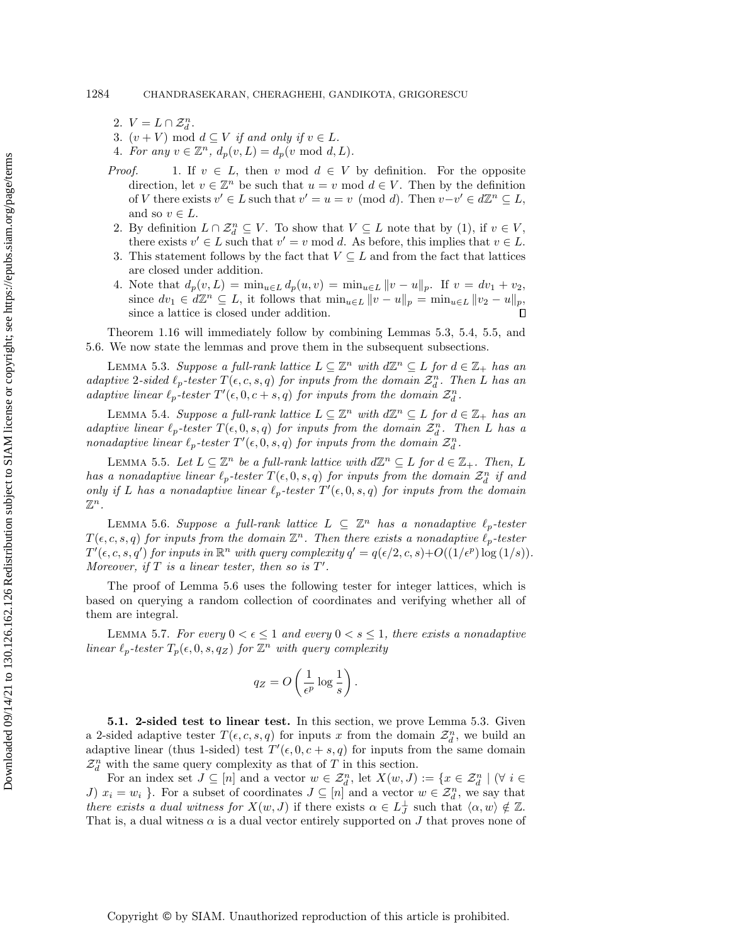- 2.  $V = L \cap \mathcal{Z}_d^n$ .
- 3.  $(v + V) \text{ mod } d \subseteq V$  if and only if  $v \in L$ .
- 4. For any  $v \in \mathbb{Z}^n$ ,  $d_p(v, L) = d_p(v \mod d, L)$ .
- *Proof.* 1. If  $v \in L$ , then v mod  $d \in V$  by definition. For the opposite direction, let  $v \in \mathbb{Z}^n$  be such that  $u = v \mod d \in V$ . Then by the definition of V there exists  $v' \in L$  such that  $v' = u = v \pmod{d}$ . Then  $v - v' \in d\mathbb{Z}^n \subseteq L$ , and so  $v \in L$ .
- 2. By definition  $L \cap \mathcal{Z}_d^n \subseteq V$ . To show that  $V \subseteq L$  note that by (1), if  $v \in V$ , there exists  $v' \in L$  such that  $v' = v \mod d$ . As before, this implies that  $v \in L$ .
- 3. This statement follows by the fact that  $V \subseteq L$  and from the fact that lattices are closed under addition.
- 4. Note that  $d_p(v, L) = \min_{u \in L} d_p(u, v) = \min_{u \in L} ||v u||_p$ . If  $v = dv_1 + v_2$ , since  $dv_1 \in d\mathbb{Z}^n \subseteq L$ , it follows that  $\min_{u \in L} ||v - u||_p = \min_{u \in L} ||v_2 - u||_p$ , since a lattice is closed under addition.

Theorem [1.16](#page-7-1) will immediately follow by combining Lemmas [5.3,](#page-19-0) [5.4,](#page-19-1) [5.5,](#page-19-2) and [5.6.](#page-19-3) We now state the lemmas and prove them in the subsequent subsections.

<span id="page-19-0"></span>LEMMA 5.3. Suppose a full-rank lattice  $L \subseteq \mathbb{Z}^n$  with  $d\mathbb{Z}^n \subseteq L$  for  $d \in \mathbb{Z}_+$  has an adaptive 2-sided  $\ell_p$ -tester  $T(\epsilon, c, s, q)$  for inputs from the domain  $\mathcal{Z}_d^n$ . Then L has an adaptive linear  $\ell_p$ -tester  $T'(\epsilon, 0, c + s, q)$  for inputs from the domain  $\mathcal{Z}_d^n$ .

<span id="page-19-1"></span>LEMMA 5.4. Suppose a full-rank lattice  $L \subseteq \mathbb{Z}^n$  with  $d\mathbb{Z}^n \subseteq L$  for  $d \in \mathbb{Z}_+$  has an adaptive linear  $\ell_p$ -tester  $T(\epsilon, 0, s, q)$  for inputs from the domain  $\mathcal{Z}_d^n$ . Then L has a nonadaptive linear  $\ell_p$ -tester  $T'(\epsilon, 0, s, q)$  for inputs from the domain  $\mathcal{Z}_d^n$ .

<span id="page-19-2"></span>LEMMA 5.5. Let  $L \subseteq \mathbb{Z}^n$  be a full-rank lattice with  $d\mathbb{Z}^n \subseteq L$  for  $d \in \mathbb{Z}_+$ . Then, L has a nonadaptive linear  $\ell_p$ -tester  $T(\epsilon, 0, s, q)$  for inputs from the domain  $\mathcal{Z}_d^n$  if and only if L has a nonadaptive linear  $\ell_p$ -tester  $T'(\epsilon, 0, s, q)$  for inputs from the domain  $\mathbb{Z}^n$  .

<span id="page-19-3"></span>LEMMA 5.6. Suppose a full-rank lattice  $L \subseteq \mathbb{Z}^n$  has a nonadaptive  $\ell_p$ -tester  $T(\epsilon, c, s, q)$  for inputs from the domain  $\mathbb{Z}^n$ . Then there exists a nonadaptive  $\ell_p$ -tester  $T'(\epsilon, c, s, q')$  for inputs in  $\mathbb{R}^n$  with query complexity  $q' = q(\epsilon/2, c, s) + O((1/\epsilon^p) \log(1/s)).$ Moreover, if  $T$  is a linear tester, then so is  $T'$ .

The proof of Lemma [5.6](#page-19-3) uses the following tester for integer lattices, which is based on querying a random collection of coordinates and verifying whether all of them are integral.

<span id="page-19-4"></span>LEMMA 5.7. For every  $0 < \epsilon \leq 1$  and every  $0 < s \leq 1$ , there exists a nonadaptive linear  $\ell_p$ -tester  $T_p(\epsilon, 0, s, q_Z)$  for  $\mathbb{Z}^n$  with query complexity

$$
q_Z = O\left(\frac{1}{\epsilon^p} \log \frac{1}{s}\right).
$$

5.1. 2-sided test to linear test. In this section, we prove Lemma [5.3.](#page-19-0) Given a 2-sided adaptive tester  $T(\epsilon, c, s, q)$  for inputs x from the domain  $\mathcal{Z}_d^n$ , we build an adaptive linear (thus 1-sided) test  $T'(\epsilon, 0, c + s, q)$  for inputs from the same domain  $\mathcal{Z}_d^n$  with the same query complexity as that of  $T$  in this section.

For an index set  $J \subseteq [n]$  and a vector  $w \in \mathcal{Z}_d^n$ , let  $X(w, J) := \{x \in \mathcal{Z}_d^n \mid (\forall i \in$ J)  $x_i = w_i$ . For a subset of coordinates  $J \subseteq [n]$  and a vector  $w \in \mathcal{Z}_d^n$ , we say that there exists a dual witness for  $X(w, J)$  if there exists  $\alpha \in L_J^{\perp}$  such that  $\langle \alpha, w \rangle \notin \mathbb{Z}$ . That is, a dual witness  $\alpha$  is a dual vector entirely supported on J that proves none of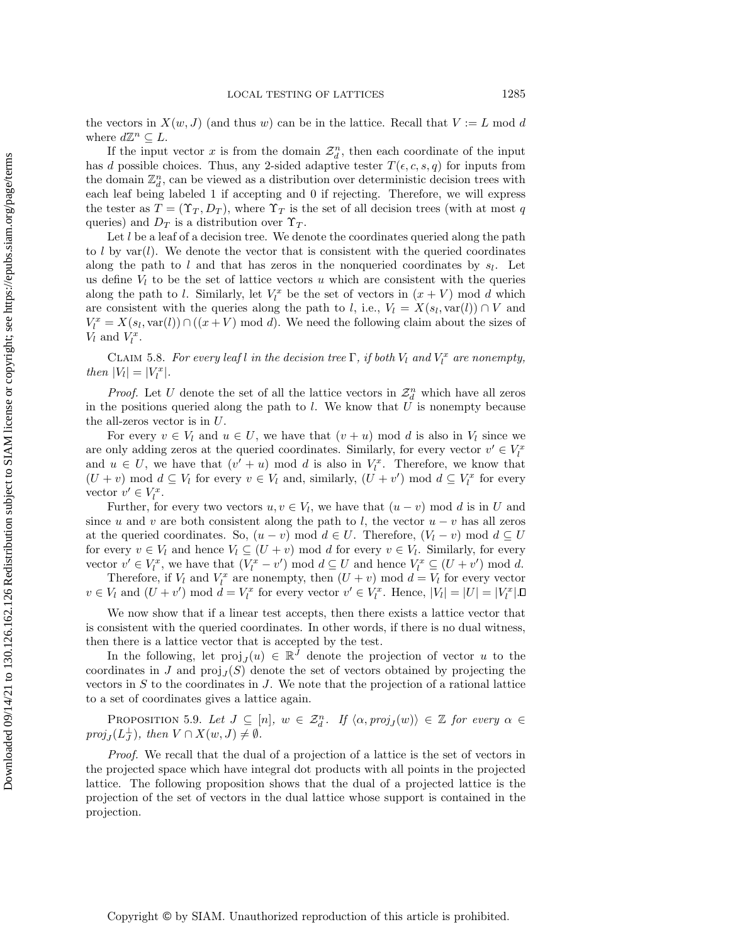the vectors in  $X(w, J)$  (and thus w) can be in the lattice. Recall that  $V := L \text{ mod } d$ where  $d\mathbb{Z}^n \subseteq L$ .

If the input vector x is from the domain  $\mathcal{Z}_d^n$ , then each coordinate of the input has d possible choices. Thus, any 2-sided adaptive tester  $T(\epsilon, c, s, q)$  for inputs from the domain  $\mathbb{Z}_d^n$ , can be viewed as a distribution over deterministic decision trees with each leaf being labeled 1 if accepting and 0 if rejecting. Therefore, we will express the tester as  $T = (\Upsilon_T, D_T)$ , where  $\Upsilon_T$  is the set of all decision trees (with at most q queries) and  $D_T$  is a distribution over  $\Upsilon_T$ .

Let  $l$  be a leaf of a decision tree. We denote the coordinates queried along the path to l by  $var(l)$ . We denote the vector that is consistent with the queried coordinates along the path to  $l$  and that has zeros in the nonqueried coordinates by  $s_l$ . Let us define  $V_l$  to be the set of lattice vectors u which are consistent with the queries along the path to l. Similarly, let  $V_l^x$  be the set of vectors in  $(x + V)$  mod d which are consistent with the queries along the path to l, i.e.,  $V_l = X(s_l, \text{var}(l)) \cap V$  and  $V_l^x = X(s_l, \text{var}(l)) \cap ((x + V) \text{ mod } d)$ . We need the following claim about the sizes of  $V_l$  and  $V_l^x$ .

<span id="page-20-1"></span>CLAIM 5.8. For every leaf l in the decision tree  $\Gamma$ , if both  $V_l$  and  $V_l^x$  are nonempty, then  $|V_l| = |V_l^x|$ .

*Proof.* Let U denote the set of all the lattice vectors in  $\mathcal{Z}_d^n$  which have all zeros in the positions queried along the path to  $l$ . We know that  $U$  is nonempty because the all-zeros vector is in  $U$ .

For every  $v \in V_l$  and  $u \in U$ , we have that  $(v + u) \mod d$  is also in  $V_l$  since we are only adding zeros at the queried coordinates. Similarly, for every vector  $v' \in V_l^x$ and  $u \in U$ , we have that  $(v' + u) \mod d$  is also in  $V_l^x$ . Therefore, we know that  $(U + v) \mod d \subseteq V_l$  for every  $v \in V_l$  and, similarly,  $(U + v') \mod d \subseteq V_l^x$  for every vector  $v' \in V_l^x$ .

Further, for every two vectors  $u, v \in V_l$ , we have that  $(u - v) \mod d$  is in U and since u and v are both consistent along the path to l, the vector  $u - v$  has all zeros at the queried coordinates. So,  $(u - v) \mod d \in U$ . Therefore,  $(V_l - v) \mod d \subseteq U$ for every  $v \in V_l$  and hence  $V_l \subseteq (U + v) \mod d$  for every  $v \in V_l$ . Similarly, for every vector  $v' \in V_l^x$ , we have that  $(V_l^x - v') \mod d \subseteq U$  and hence  $V_l^x \subseteq (U + v') \mod d$ .

Therefore, if  $V_l$  and  $V_l^x$  are nonempty, then  $(U + v)$  mod  $d = V_l$  for every vector  $v \in V_l$  and  $(U + v')$  mod  $d = V_l^x$  for every vector  $v' \in V_l^x$ . Hence,  $|V_l| = |U| = |V_l^x|$ .

We now show that if a linear test accepts, then there exists a lattice vector that is consistent with the queried coordinates. In other words, if there is no dual witness, then there is a lattice vector that is accepted by the test.

In the following, let  $proj_J(u) \in \mathbb{R}^{\tilde{J}}$  denote the projection of vector u to the coordinates in J and  $proj_J(S)$  denote the set of vectors obtained by projecting the vectors in  $S$  to the coordinates in  $J$ . We note that the projection of a rational lattice to a set of coordinates gives a lattice again.

<span id="page-20-2"></span>PROPOSITION 5.9. Let  $J \subseteq [n]$ ,  $w \in \mathcal{Z}_d^n$ . If  $\langle \alpha, proj_j(w) \rangle \in \mathbb{Z}$  for every  $\alpha \in$  $proj_J(L_J^{\perp}), \text{ then } V \cap X(w, J) \neq \emptyset.$ 

<span id="page-20-0"></span>Proof. We recall that the dual of a projection of a lattice is the set of vectors in the projected space which have integral dot products with all points in the projected lattice. The following proposition shows that the dual of a projected lattice is the projection of the set of vectors in the dual lattice whose support is contained in the projection.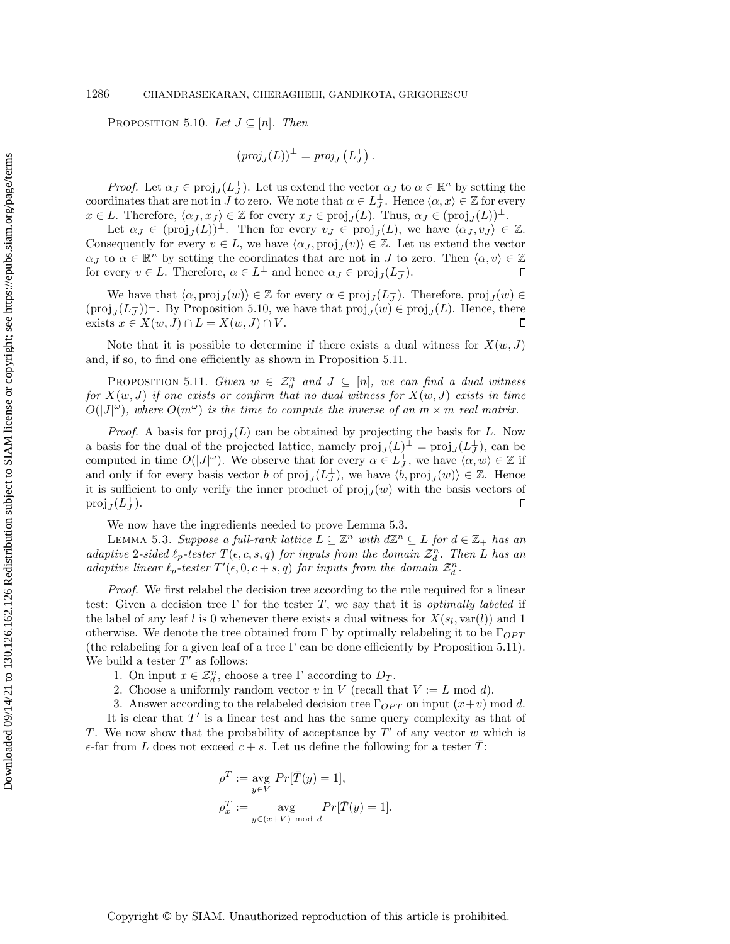PROPOSITION 5.10. Let  $J \subseteq [n]$ . Then

$$
(proj_J(L))^{\perp} = proj_J(L_J^{\perp}).
$$

*Proof.* Let  $\alpha_J \in \text{proj}_J(L_J^{\perp})$ . Let us extend the vector  $\alpha_J$  to  $\alpha \in \mathbb{R}^n$  by setting the coordinates that are not in J to zero. We note that  $\alpha \in L_J^{\perp}$ . Hence  $\langle \alpha, x \rangle \in \mathbb{Z}$  for every  $x \in L$ . Therefore,  $\langle \alpha_J, x_J \rangle \in \mathbb{Z}$  for every  $x_J \in \text{proj}_J(L)$ . Thus,  $\alpha_J \in (\text{proj}_J(L))^{\perp}$ .

Let  $\alpha_J \in (\text{proj}_J(L))^{\perp}$ . Then for every  $v_J \in \text{proj}_J(L)$ , we have  $\langle \alpha_J, v_J \rangle \in \mathbb{Z}$ . Consequently for every  $v \in L$ , we have  $\langle \alpha_J, \text{proj}_J(v) \rangle \in \mathbb{Z}$ . Let us extend the vector  $\alpha_J$  to  $\alpha \in \mathbb{R}^n$  by setting the coordinates that are not in J to zero. Then  $\langle \alpha, v \rangle \in \mathbb{Z}$ for every  $v \in L$ . Therefore,  $\alpha \in L^{\perp}$  and hence  $\alpha_J \in \text{proj}_J(L_J^{\perp})$ .  $\Box$ 

We have that  $\langle \alpha, \text{proj}_J(w) \rangle \in \mathbb{Z}$  for every  $\alpha \in \text{proj}_J(L_J^{\perp})$ . Therefore,  $\text{proj}_J(w) \in$  $(\text{proj}_{J}(L_{J}^{\perp}))^{\perp}$ . By Proposition [5.10,](#page-20-0) we have that  $\text{proj}_{J}(w) \in \text{proj}_{J}(L)$ . Hence, there exists  $x \in X(w, J) \cap L = X(w, J) \cap V$ .  $\Box$ 

Note that it is possible to determine if there exists a dual witness for  $X(w, J)$ and, if so, to find one efficiently as shown in Proposition [5.11.](#page-21-0)

<span id="page-21-0"></span>PROPOSITION 5.11. Given  $w \in \mathcal{Z}_d^n$  and  $J \subseteq [n]$ , we can find a dual witness for  $X(w, J)$  if one exists or confirm that no dual witness for  $X(w, J)$  exists in time  $O(|J|<sup>\omega</sup>)$ , where  $O(m^{\omega})$  is the time to compute the inverse of an  $m \times m$  real matrix.

*Proof.* A basis for  $proj_J(L)$  can be obtained by projecting the basis for L. Now a basis for the dual of the projected lattice, namely  $proj_J(L)^\perp = proj_J(L_J^\perp)$ , can be computed in time  $O(|J|^{\omega})$ . We observe that for every  $\alpha \in L_J^{\perp}$ , we have  $\langle \alpha, w \rangle \in \mathbb{Z}$  if and only if for every basis vector b of  $proj_J(L_J^{\perp})$ , we have  $\langle b, proj_J(w) \rangle \in \mathbb{Z}$ . Hence it is sufficient to only verify the inner product of  $proj_J(w)$  with the basis vectors of  $proj_J(L_J^{\perp}).$  $\Box$ 

We now have the ingredients needed to prove Lemma [5.3.](#page-19-0)

LEMMA 5.3. Suppose a full-rank lattice  $L \subseteq \mathbb{Z}^n$  with  $d\mathbb{Z}^n \subseteq L$  for  $d \in \mathbb{Z}_+$  has an adaptive 2-sided  $\ell_p$ -tester  $T(\epsilon, c, s, q)$  for inputs from the domain  $\mathcal{Z}_d^n$ . Then L has an adaptive linear  $\ell_p$ -tester  $T'(\epsilon, 0, c + s, q)$  for inputs from the domain  $\mathcal{Z}_d^n$ .

Proof. We first relabel the decision tree according to the rule required for a linear test: Given a decision tree  $\Gamma$  for the tester T, we say that it is *optimally labeled* if the label of any leaf l is 0 whenever there exists a dual witness for  $X(s_l, \text{var}(l))$  and 1 otherwise. We denote the tree obtained from  $\Gamma$  by optimally relabeling it to be  $\Gamma_{OPT}$ (the relabeling for a given leaf of a tree  $\Gamma$  can be done efficiently by Proposition [5.11\)](#page-21-0). We build a tester  $T'$  as follows:

1. On input  $x \in \mathcal{Z}_d^n$ , choose a tree  $\Gamma$  according to  $D_T$ .

2. Choose a uniformly random vector v in V (recall that  $V := L \text{ mod } d$ ).

3. Answer according to the relabeled decision tree  $\Gamma_{OPT}$  on input  $(x+v)$  mod d.

It is clear that  $T'$  is a linear test and has the same query complexity as that of T. We now show that the probability of acceptance by  $T'$  of any vector w which is  $\epsilon$ -far from L does not exceed  $c + s$ . Let us define the following for a tester  $\overline{T}$ :

$$
\rho^{\overline{T}} := \underset{y \in V}{\text{avg}} Pr[\overline{T}(y) = 1],
$$
  

$$
\rho_x^{\overline{T}} := \underset{y \in (x+V) \text{ mod } d}{\text{avg}} Pr[\overline{T}(y) = 1].
$$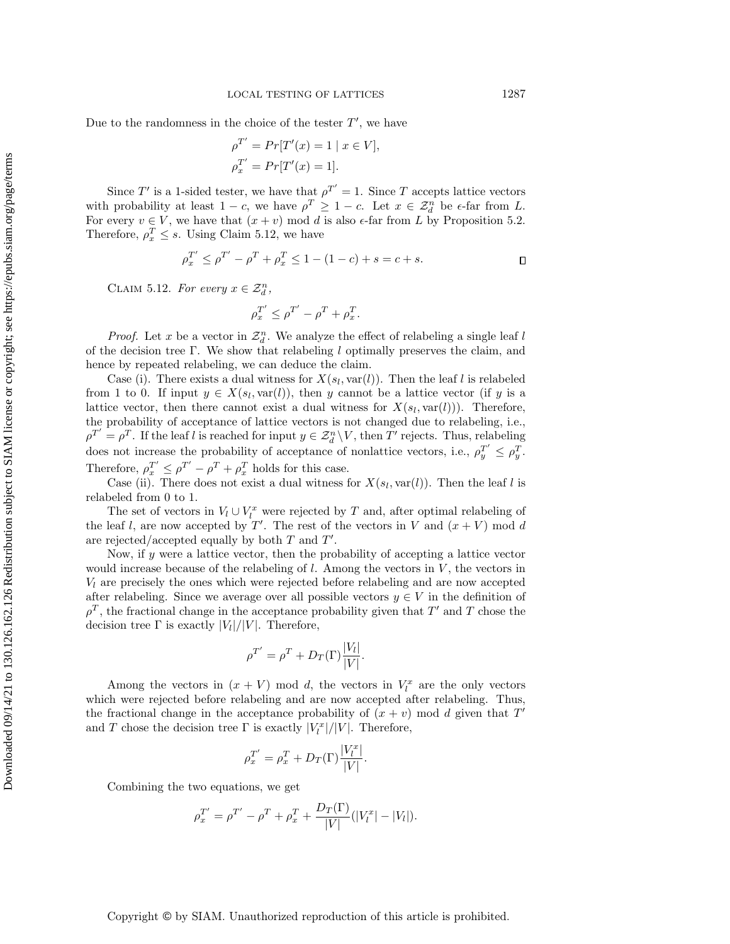Due to the randomness in the choice of the tester  $T'$ , we have

$$
\rho^{T'} = Pr[T'(x) = 1 | x \in V],
$$
  

$$
\rho_x^{T'} = Pr[T'(x) = 1].
$$

Since T' is a 1-sided tester, we have that  $\rho^{T'} = 1$ . Since T accepts lattice vectors with probability at least  $1 - c$ , we have  $\rho^T \geq 1 - c$ . Let  $x \in \mathcal{Z}_d^n$  be  $\epsilon$ -far from L. For every  $v \in V$ , we have that  $(x + v) \mod d$  is also  $\epsilon$ -far from L by Proposition [5.2.](#page-18-1) Therefore,  $\rho_x^T \leq s$ . Using Claim [5.12,](#page-22-0) we have

$$
\rho_x^{T'} \le \rho^{T'} - \rho^T + \rho_x^T \le 1 - (1 - c) + s = c + s.
$$

<span id="page-22-0"></span>CLAIM 5.12. For every  $x \in \mathcal{Z}_d^n$ ,

$$
\rho_x^{T'} \le \rho^{T'} - \rho^T + \rho_x^T.
$$

*Proof.* Let x be a vector in  $\mathcal{Z}_d^n$ . We analyze the effect of relabeling a single leaf l of the decision tree Γ. We show that relabeling  $l$  optimally preserves the claim, and hence by repeated relabeling, we can deduce the claim.

Case (i). There exists a dual witness for  $X(s_l, \text{var}(l))$ . Then the leaf l is relabeled from 1 to 0. If input  $y \in X(s_l, \text{var}(l))$ , then y cannot be a lattice vector (if y is a lattice vector, then there cannot exist a dual witness for  $X(s_l, \text{var}(l))$ . Therefore, the probability of acceptance of lattice vectors is not changed due to relabeling, i.e.,  $\rho^{T'} = \rho^T$ . If the leaf l is reached for input  $y \in \mathcal{Z}_d^n \setminus V$ , then T' rejects. Thus, relabeling does not increase the probability of acceptance of nonlattice vectors, i.e.,  $\rho_y^{T'} \leq \rho_y^T$ . Therefore,  $\rho_x^{T'} \leq \rho^{T'} - \rho^T + \rho_x^T$  holds for this case.

Case (ii). There does not exist a dual witness for  $X(s_l, \text{var}(l))$ . Then the leaf l is relabeled from 0 to 1.

The set of vectors in  $V_l \cup V_l^x$  were rejected by T and, after optimal relabeling of the leaf l, are now accepted by  $T'$ . The rest of the vectors in V and  $(x + V)$  mod d are rejected/accepted equally by both  $T$  and  $T'$ .

Now, if  $y$  were a lattice vector, then the probability of accepting a lattice vector would increase because of the relabeling of  $l$ . Among the vectors in  $V$ , the vectors in  $V_l$  are precisely the ones which were rejected before relabeling and are now accepted after relabeling. Since we average over all possible vectors  $y \in V$  in the definition of  $\rho^T$ , the fractional change in the acceptance probability given that T' and T chose the decision tree  $\Gamma$  is exactly  $|V_l|/|V|$ . Therefore,

$$
\rho^{T'} = \rho^T + D_T(\Gamma) \frac{|V_l|}{|V|}.
$$

Among the vectors in  $(x + V)$  mod d, the vectors in  $V_l^x$  are the only vectors which were rejected before relabeling and are now accepted after relabeling. Thus, the fractional change in the acceptance probability of  $(x + v)$  mod d given that T' and T chose the decision tree  $\Gamma$  is exactly  $|V_l^x|/|V|$ . Therefore,

$$
\rho_x^{T'} = \rho_x^T + D_T(\Gamma) \frac{|V_l^x|}{|V|}.
$$

Combining the two equations, we get

$$
\rho_x^{T'} = \rho^{T'} - \rho^T + \rho_x^T + \frac{D_T(\Gamma)}{|V|} (|V_l^x| - |V_l|).
$$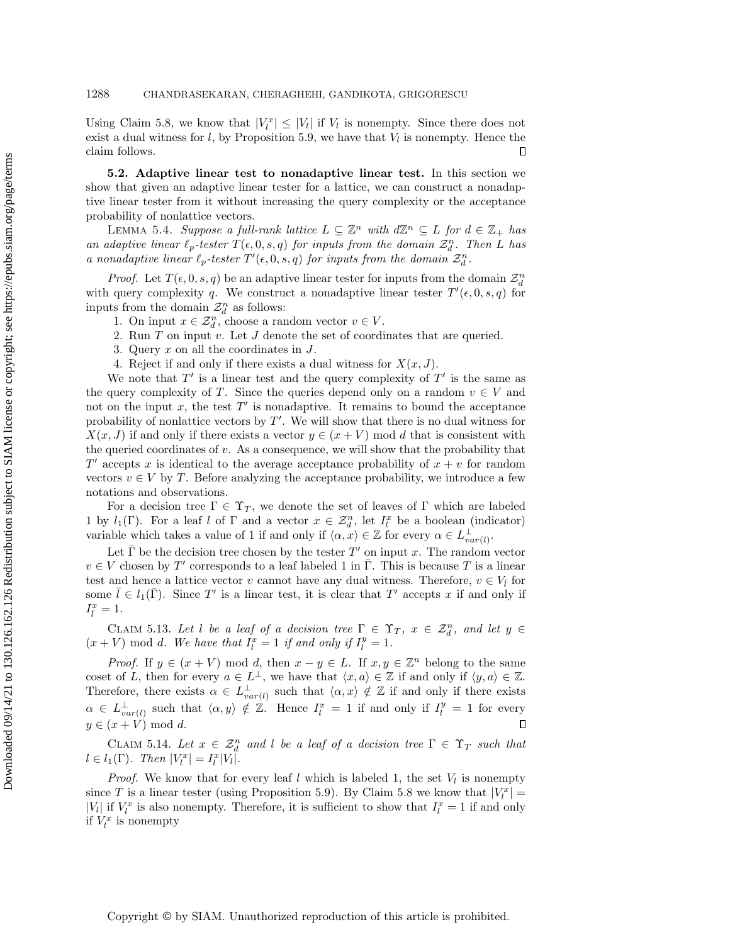Using Claim [5.8,](#page-20-1) we know that  $|V_l^x| \leq |V_l|$  if  $V_l$  is nonempty. Since there does not exist a dual witness for  $l$ , by Proposition [5.9,](#page-20-2) we have that  $V_l$  is nonempty. Hence the claim follows.  $\Box$ 

5.2. Adaptive linear test to nonadaptive linear test. In this section we show that given an adaptive linear tester for a lattice, we can construct a nonadaptive linear tester from it without increasing the query complexity or the acceptance probability of nonlattice vectors.

LEMMA 5.4. Suppose a full-rank lattice  $L \subseteq \mathbb{Z}^n$  with  $d\mathbb{Z}^n \subseteq L$  for  $d \in \mathbb{Z}_+$  has an adaptive linear  $\ell_p$ -tester  $T(\epsilon, 0, s, q)$  for inputs from the domain  $\mathcal{Z}_d^n$ . Then L has a nonadaptive linear  $\ell_p$ -tester  $T'(\epsilon, 0, s, q)$  for inputs from the domain  $\mathcal{Z}_d^n$ .

*Proof.* Let  $T(\epsilon, 0, s, q)$  be an adaptive linear tester for inputs from the domain  $\mathcal{Z}_d^n$ with query complexity q. We construct a nonadaptive linear tester  $T'(\epsilon, 0, s, q)$  for inputs from the domain  $\mathcal{Z}_d^n$  as follows:

1. On input  $x \in \mathcal{Z}_d^n$ , choose a random vector  $v \in V$ .

- 2. Run T on input v. Let J denote the set of coordinates that are queried.
- 3. Query x on all the coordinates in J.
- 4. Reject if and only if there exists a dual witness for  $X(x, J)$ .

We note that  $T'$  is a linear test and the query complexity of  $T'$  is the same as the query complexity of T. Since the queries depend only on a random  $v \in V$  and not on the input  $x$ , the test  $T'$  is nonadaptive. It remains to bound the acceptance probability of nonlattice vectors by  $T'$ . We will show that there is no dual witness for  $X(x, J)$  if and only if there exists a vector  $y \in (x + V)$  mod d that is consistent with the queried coordinates of  $v$ . As a consequence, we will show that the probability that  $T'$  accepts x is identical to the average acceptance probability of  $x + v$  for random vectors  $v \in V$  by T. Before analyzing the acceptance probability, we introduce a few notations and observations.

For a decision tree  $\Gamma \in \Upsilon_T$ , we denote the set of leaves of  $\Gamma$  which are labeled 1 by  $l_1(\Gamma)$ . For a leaf l of  $\Gamma$  and a vector  $x \in \mathcal{Z}_d^n$ , let  $I_l^x$  be a boolean (indicator) variable which takes a value of 1 if and only if  $\langle \alpha, x \rangle \in \mathbb{Z}$  for every  $\alpha \in L^{\perp}_{var(l)}$ .

Let  $\bar{\Gamma}$  be the decision tree chosen by the tester  $T'$  on input x. The random vector  $v \in V$  chosen by T' corresponds to a leaf labeled 1 in  $\overline{\Gamma}$ . This is because T is a linear test and hence a lattice vector v cannot have any dual witness. Therefore,  $v \in V_{\bar{l}}$  for some  $\bar{l} \in l_1(\bar{\Gamma})$ . Since T' is a linear test, it is clear that T' accepts x if and only if  $I_{\bar{l}}^x=1.$ 

<span id="page-23-0"></span>CLAIM 5.13. Let l be a leaf of a decision tree  $\Gamma \in \Upsilon_T$ ,  $x \in \mathcal{Z}_d^n$ , and let  $y \in$  $(x + V) \text{ mod } d$ . We have that  $I_l^x = 1$  if and only if  $I_l^y = 1$ .

*Proof.* If  $y \in (x + V) \text{ mod } d$ , then  $x - y \in L$ . If  $x, y \in \mathbb{Z}^n$  belong to the same coset of L, then for every  $a \in L^{\perp}$ , we have that  $\langle x, a \rangle \in \mathbb{Z}$  if and only if  $\langle y, a \rangle \in \mathbb{Z}$ . Therefore, there exists  $\alpha \in L^{\perp}_{var(l)}$  such that  $\langle \alpha, x \rangle \notin \mathbb{Z}$  if and only if there exists  $\alpha \in L^{\perp}_{var(l)}$  such that  $\langle \alpha, y \rangle \notin \mathbb{Z}$ . Hence  $I_l^x = 1$  if and only if  $I_l^y = 1$  for every  $y \in (x + V) \text{ mod } d.$  $\Box$ 

<span id="page-23-1"></span>CLAIM 5.14. Let  $x \in \mathcal{Z}_d^n$  and l be a leaf of a decision tree  $\Gamma \in \Upsilon_T$  such that  $l \in l_1(\Gamma)$ . Then  $|V_l^x| = I_l^x |V_l|$ .

*Proof.* We know that for every leaf l which is labeled 1, the set  $V_l$  is nonempty since T is a linear tester (using Proposition [5.9\)](#page-20-2). By Claim [5.8](#page-20-1) we know that  $|V_l^x|$  = | $V_l$ | if  $V_l^x$  is also nonempty. Therefore, it is sufficient to show that  $I_l^x = 1$  if and only if  $V_l^x$  is nonempty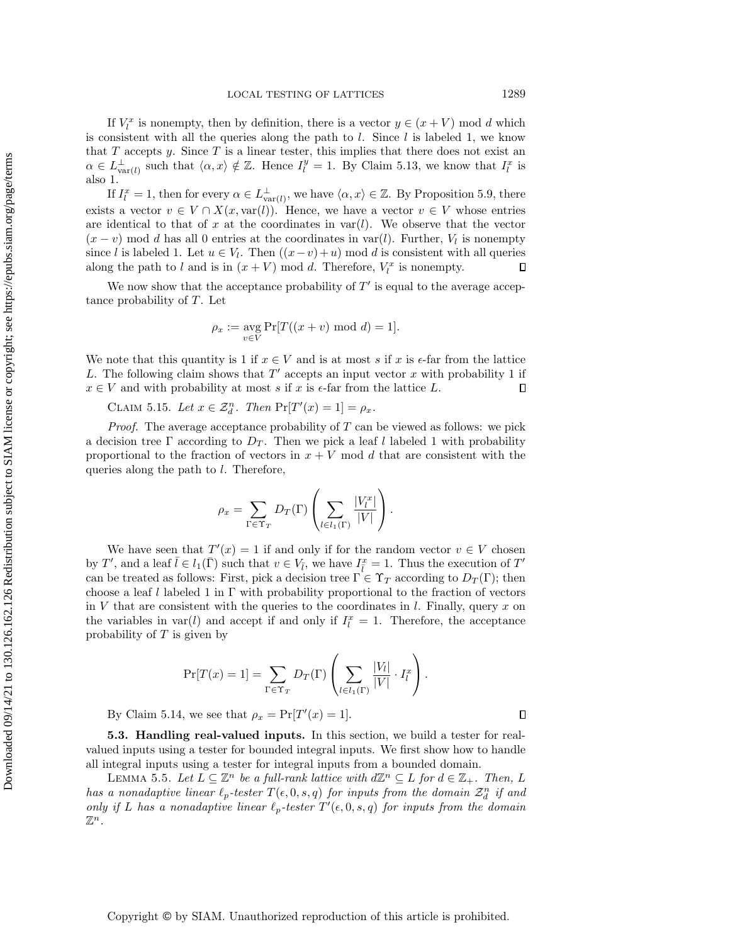If  $V_l^x$  is nonempty, then by definition, there is a vector  $y \in (x + V)$  mod d which is consistent with all the queries along the path to  $l$ . Since  $l$  is labeled 1, we know that  $T$  accepts  $y$ . Since  $T$  is a linear tester, this implies that there does not exist an  $\alpha \in L_{\text{var}(l)}^{\perp}$  such that  $\langle \alpha, x \rangle \notin \mathbb{Z}$ . Hence  $I_l^y = 1$ . By Claim [5.13,](#page-23-0) we know that  $I_l^x$  is also 1.

If  $I_l^x = 1$ , then for every  $\alpha \in L_{var(l)}^{\perp}$ , we have  $\langle \alpha, x \rangle \in \mathbb{Z}$ . By Proposition [5.9,](#page-20-2) there exists a vector  $v \in V \cap X(x, \text{var}(l))$ . Hence, we have a vector  $v \in V$  whose entries are identical to that of x at the coordinates in  $var(l)$ . We observe that the vector  $(x - v)$  mod d has all 0 entries at the coordinates in var(l). Further,  $V<sub>l</sub>$  is nonempty since l is labeled 1. Let  $u \in V_l$ . Then  $((x-v)+u) \mod d$  is consistent with all queries along the path to l and is in  $(x + V)$  mod d. Therefore,  $V_l^x$  is nonempty.  $\Box$ 

We now show that the acceptance probability of  $T'$  is equal to the average acceptance probability of T. Let

$$
\rho_x := \operatorname*{avg}_{v \in V} \Pr[T((x+v) \mod d) = 1].
$$

We note that this quantity is 1 if  $x \in V$  and is at most s if x is  $\epsilon$ -far from the lattice L. The following claim shows that  $T'$  accepts an input vector  $x$  with probability 1 if  $x \in V$  and with probability at most s if x is  $\epsilon$ -far from the lattice L.  $\Box$ 

CLAIM 5.15. Let  $x \in \mathcal{Z}_d^n$ . Then  $\Pr[T'(x) = 1] = \rho_x$ .

*Proof.* The average acceptance probability of  $T$  can be viewed as follows: we pick a decision tree  $\Gamma$  according to  $D_T$ . Then we pick a leaf l labeled 1 with probability proportional to the fraction of vectors in  $x + V$  mod d that are consistent with the queries along the path to l. Therefore,

$$
\rho_x = \sum_{\Gamma \in \Upsilon_T} D_T(\Gamma) \left( \sum_{l \in l_1(\Gamma)} \frac{|V_l^x|}{|V|} \right).
$$

We have seen that  $T'(x) = 1$  if and only if for the random vector  $v \in V$  chosen by T', and a leaf  $\bar{l} \in l_1(\bar{\Gamma})$  such that  $v \in V_{\bar{l}}$ , we have  $I_{\bar{l}}^x = 1$ . Thus the execution of T' can be treated as follows: First, pick a decision tree  $\Gamma \in \Upsilon_T$  according to  $D_T(\Gamma)$ ; then choose a leaf l labeled 1 in  $\Gamma$  with probability proportional to the fraction of vectors in V that are consistent with the queries to the coordinates in  $l$ . Finally, query x on the variables in  $var(l)$  and accept if and only if  $I_l^x = 1$ . Therefore, the acceptance probability of  $T$  is given by

$$
\Pr[T(x) = 1] = \sum_{\Gamma \in \Upsilon_T} D_T(\Gamma) \left( \sum_{l \in l_1(\Gamma)} \frac{|V_l|}{|V|} \cdot I_l^x \right).
$$

By Claim [5.14,](#page-23-1) we see that  $\rho_x = \Pr[T'(x) = 1].$ 

5.3. Handling real-valued inputs. In this section, we build a tester for realvalued inputs using a tester for bounded integral inputs. We first show how to handle all integral inputs using a tester for integral inputs from a bounded domain.

LEMMA 5.5. Let  $L \subseteq \mathbb{Z}^n$  be a full-rank lattice with  $d\mathbb{Z}^n \subseteq L$  for  $d \in \mathbb{Z}_+$ . Then, L has a nonadaptive linear  $\ell_p$ -tester  $T(\epsilon, 0, s, q)$  for inputs from the domain  $\mathcal{Z}_d^n$  if and only if L has a nonadaptive linear  $\ell_p$ -tester  $T'(\epsilon, 0, s, q)$  for inputs from the domain  $\mathbb{Z}^n$  .

 $\Box$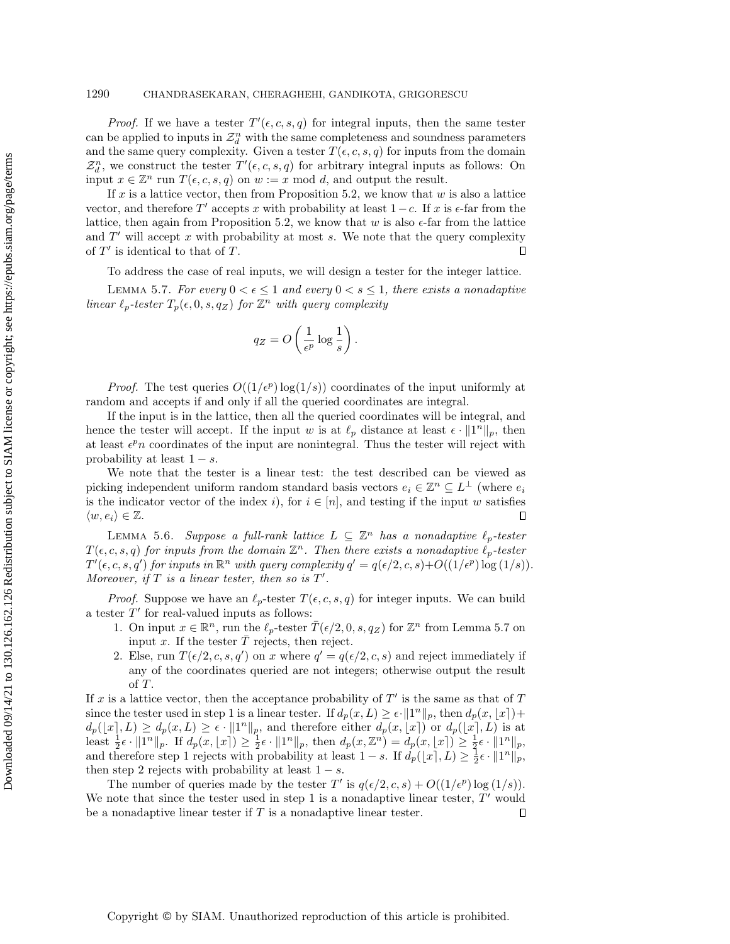### 1290 CHANDRASEKARAN, CHERAGHEHI, GANDIKOTA, GRIGORESCU

*Proof.* If we have a tester  $T'(\epsilon, c, s, q)$  for integral inputs, then the same tester can be applied to inputs in  $\mathcal{Z}_d^n$  with the same completeness and soundness parameters and the same query complexity. Given a tester  $T(\epsilon, c, s, q)$  for inputs from the domain  $\mathcal{Z}_d^n$ , we construct the tester  $T'(\epsilon, c, s, q)$  for arbitrary integral inputs as follows: On input  $x \in \mathbb{Z}^n$  run  $T(\epsilon, c, s, q)$  on  $w := x \mod d$ , and output the result.

If x is a lattice vector, then from Proposition [5.2,](#page-18-1) we know that  $w$  is also a lattice vector, and therefore T' accepts x with probability at least  $1-c$ . If x is  $\epsilon$ -far from the lattice, then again from Proposition [5.2,](#page-18-1) we know that w is also  $\epsilon$ -far from the lattice and  $T'$  will accept x with probability at most s. We note that the query complexity of  $T'$  is identical to that of  $T$ .  $\Box$ 

To address the case of real inputs, we will design a tester for the integer lattice.

LEMMA 5.7. For every  $0 < \epsilon \leq 1$  and every  $0 < s \leq 1$ , there exists a nonadaptive linear  $\ell_p$ -tester  $T_p(\epsilon, 0, s, q_Z)$  for  $\mathbb{Z}^n$  with query complexity

$$
q_Z = O\left(\frac{1}{\epsilon^p} \log \frac{1}{s}\right).
$$

*Proof.* The test queries  $O((1/\epsilon^p) \log(1/s))$  coordinates of the input uniformly at random and accepts if and only if all the queried coordinates are integral.

If the input is in the lattice, then all the queried coordinates will be integral, and hence the tester will accept. If the input w is at  $\ell_p$  distance at least  $\epsilon \cdot ||1^n||_p$ , then at least  $\epsilon^p n$  coordinates of the input are nonintegral. Thus the tester will reject with probability at least  $1 - s$ .

We note that the tester is a linear test: the test described can be viewed as picking independent uniform random standard basis vectors  $e_i \in \mathbb{Z}^n \subseteq L^{\perp}$  (where  $e_i$ ) is the indicator vector of the index i), for  $i \in [n]$ , and testing if the input w satisfies  $\langle w, e_i \rangle \in \mathbb{Z}$ .  $\Box$ 

LEMMA 5.6. Suppose a full-rank lattice  $L \subseteq \mathbb{Z}^n$  has a nonadaptive  $\ell_p$ -tester  $T(\epsilon, c, s, q)$  for inputs from the domain  $\mathbb{Z}^n$ . Then there exists a nonadaptive  $\ell_p$ -tester  $T'(\epsilon, c, s, q')$  for inputs in  $\mathbb{R}^n$  with query complexity  $q' = q(\epsilon/2, c, s) + O((1/\epsilon^p) \log(1/s)).$ Moreover, if  $T$  is a linear tester, then so is  $T'$ .

*Proof.* Suppose we have an  $\ell_p$ -tester  $T(\epsilon, c, s, q)$  for integer inputs. We can build a tester  $T'$  for real-valued inputs as follows:

- 1. On input  $x \in \mathbb{R}^n$ , run the  $\ell_p$ -tester  $\overline{T}(\epsilon/2, 0, s, q_Z)$  for  $\mathbb{Z}^n$  from Lemma [5.7](#page-19-4) on input x. If the tester  $\overline{T}$  rejects, then reject.
- 2. Else, run  $T(\epsilon/2, c, s, q')$  on x where  $q' = q(\epsilon/2, c, s)$  and reject immediately if any of the coordinates queried are not integers; otherwise output the result of T.

If x is a lattice vector, then the acceptance probability of  $T'$  is the same as that of T since the tester used in step 1 is a linear tester. If  $d_p(x, L) \ge \epsilon \cdot ||1^n||_p$ , then  $d_p(x, \lfloor x \rfloor)$ +  $d_p(x, L) \geq d_p(x, L) \geq \epsilon \cdot ||1^n||_p$ , and therefore either  $d_p(x, [x])$  or  $d_p(x, L)$  is at least  $\frac{1}{2}\epsilon \cdot ||1^n||_p$ . If  $d_p(x, \lfloor x \rceil) \geq \frac{1}{2}\epsilon \cdot ||1^n||_p$ , then  $d_p(x, \mathbb{Z}^n) = d_p(x, \lfloor x \rceil) \geq \frac{1}{2}\epsilon \cdot ||1^n||_p$ , and therefore step 1 rejects with probability at least  $1-s$ . If  $d_p([x], L) \geq \frac{1}{2} \epsilon \cdot ||1^n||_p$ , then step 2 rejects with probability at least  $1 - s$ .

<span id="page-25-0"></span>The number of queries made by the tester T' is  $q(\epsilon/2, c, s) + O((1/\epsilon^p) \log(1/s)).$ We note that since the tester used in step 1 is a nonadaptive linear tester,  $T'$  would be a nonadaptive linear tester if  $T$  is a nonadaptive linear tester.  $\Box$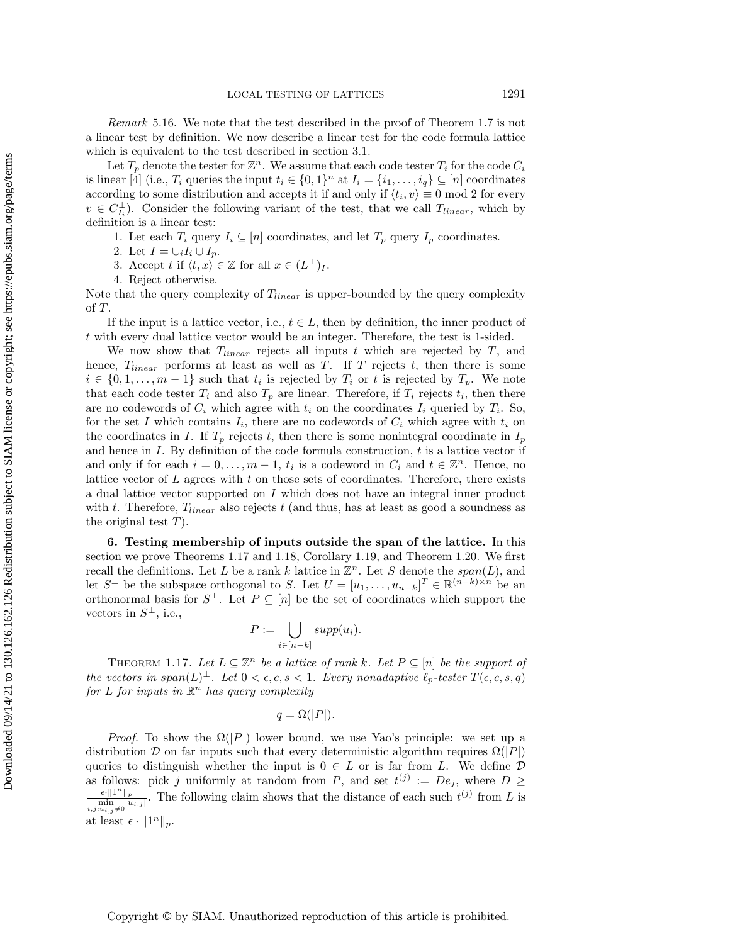Remark 5.16. We note that the test described in the proof of Theorem [1.7](#page-5-2) is not a linear test by definition. We now describe a linear test for the code formula lattice which is equivalent to the test described in section [3.1.](#page-10-1)

Let  $T_p$  denote the tester for  $\mathbb{Z}^n$ . We assume that each code tester  $T_i$  for the code  $C_i$ is linear [\[4\]](#page-29-8) (i.e.,  $T_i$  queries the input  $t_i \in \{0,1\}^n$  at  $I_i = \{i_1, \ldots, i_q\} \subseteq [n]$  coordinates according to some distribution and accepts it if and only if  $\langle t_i, v \rangle \equiv 0 \mod 2$  for every  $v \in C_{I_i}^{\perp}$ ). Consider the following variant of the test, that we call  $T_{linear}$ , which by definition is a linear test:

1. Let each  $T_i$  query  $I_i \subseteq [n]$  coordinates, and let  $T_p$  query  $I_p$  coordinates.

2. Let  $I = \cup_i I_i \cup I_p$ .

3. Accept t if  $\langle t, x \rangle \in \mathbb{Z}$  for all  $x \in (L^{\perp})_I$ .

4. Reject otherwise.

Note that the query complexity of  $T_{linear}$  is upper-bounded by the query complexity of T.

If the input is a lattice vector, i.e.,  $t \in L$ , then by definition, the inner product of t with every dual lattice vector would be an integer. Therefore, the test is 1-sided.

We now show that  $T_{linear}$  rejects all inputs t which are rejected by T, and hence,  $T_{linear}$  performs at least as well as T. If T rejects t, then there is some  $i \in \{0, 1, \ldots, m-1\}$  such that  $t_i$  is rejected by  $T_i$  or t is rejected by  $T_p$ . We note that each code tester  $T_i$  and also  $T_p$  are linear. Therefore, if  $T_i$  rejects  $t_i$ , then there are no codewords of  $C_i$  which agree with  $t_i$  on the coordinates  $I_i$  queried by  $T_i$ . So, for the set I which contains  $I_i$ , there are no codewords of  $C_i$  which agree with  $t_i$  on the coordinates in I. If  $T_p$  rejects t, then there is some nonintegral coordinate in  $I_p$ and hence in  $I$ . By definition of the code formula construction,  $t$  is a lattice vector if and only if for each  $i = 0, ..., m - 1, t_i$  is a codeword in  $C_i$  and  $t \in \mathbb{Z}^n$ . Hence, no lattice vector of  $L$  agrees with  $t$  on those sets of coordinates. Therefore, there exists a dual lattice vector supported on I which does not have an integral inner product with  $t$ . Therefore,  $T_{linear}$  also rejects  $t$  (and thus, has at least as good a soundness as the original test  $T$ ).

<span id="page-26-0"></span>6. Testing membership of inputs outside the span of the lattice. In this section we prove Theorems [1.17](#page-8-1) and [1.18,](#page-8-0) Corollary [1.19,](#page-9-2) and Theorem [1.20.](#page-9-1) We first recall the definitions. Let L be a rank k lattice in  $\mathbb{Z}^n$ . Let S denote the span(L), and let  $S^{\perp}$  be the subspace orthogonal to S. Let  $U = [u_1, \ldots, u_{n-k}]^T \in \mathbb{R}^{(n-k)\times n}$  be an orthonormal basis for  $S^{\perp}$ . Let  $P \subseteq [n]$  be the set of coordinates which support the vectors in  $S^{\perp}$ , i.e.,

$$
P := \bigcup_{i \in [n-k]} supp(u_i).
$$

THEOREM 1.17. Let  $L \subseteq \mathbb{Z}^n$  be a lattice of rank k. Let  $P \subseteq [n]$  be the support of the vectors in span $(L)^{\perp}$ . Let  $0 < \epsilon, c, s < 1$ . Every nonadaptive  $\ell_p$ -tester  $T(\epsilon, c, s, q)$ for L for inputs in  $\mathbb{R}^n$  has query complexity

 $q = \Omega(|P|).$ 

*Proof.* To show the  $\Omega(|P|)$  lower bound, we use Yao's principle: we set up a distribution D on far inputs such that every deterministic algorithm requires  $\Omega(|P|)$ queries to distinguish whether the input is  $0 \in L$  or is far from L. We define  $D$ as follows: pick j uniformly at random from P, and set  $t^{(j)} := De_j$ , where  $D \geq$  $\frac{\epsilon \cdot \|1^n\|_p}{\min\limits_{i,j:u_{i,j}\neq 0} |u_{i,j}|}$ . The following claim shows that the distance of each such  $t^{(j)}$  from L is at least  $\epsilon \cdot ||1^n||_p$ .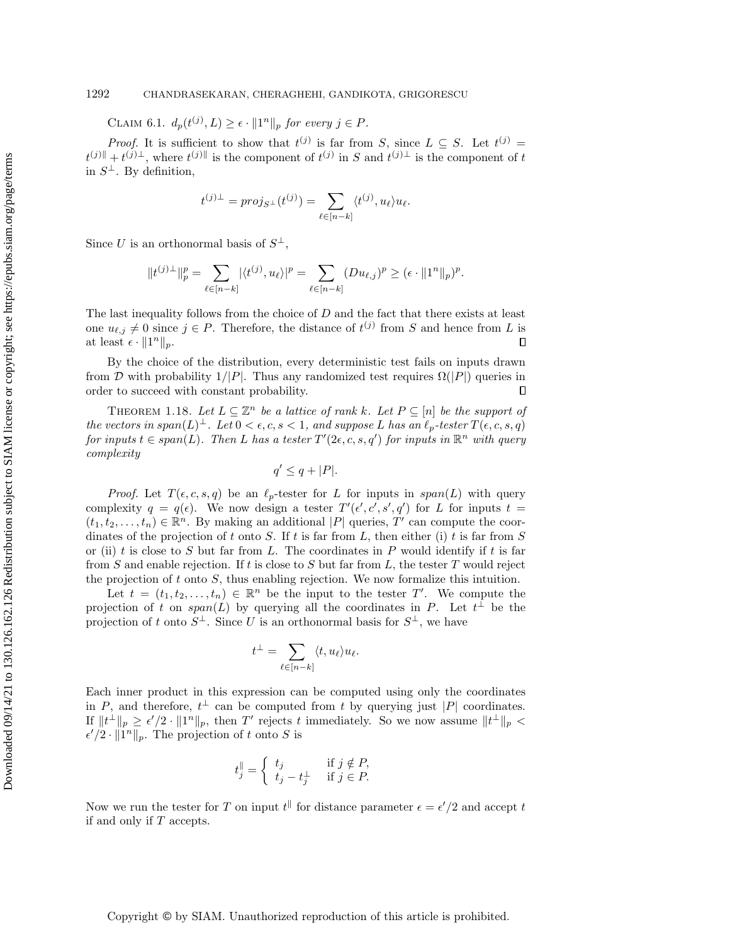CLAIM 6.1.  $d_p(t^{(j)}, L) \geq \epsilon \cdot ||1^n||_p$  for every  $j \in P$ .

*Proof.* It is sufficient to show that  $t^{(j)}$  is far from S, since  $L \subseteq S$ . Let  $t^{(j)} =$  $t^{(j)} \|$  +  $t^{(j)} \perp$ , where  $t^{(j)} \|$  is the component of  $t^{(j)}$  in S and  $t^{(j)} \perp$  is the component of t in  $S^{\perp}$ . By definition,

$$
t^{(j)\perp} = proj_{S^{\perp}}(t^{(j)}) = \sum_{\ell \in [n-k]} \langle t^{(j)}, u_{\ell} \rangle u_{\ell}.
$$

Since U is an orthonormal basis of  $S^{\perp}$ ,

$$
||t^{(j)\perp}||_p^p = \sum_{\ell \in [n-k]} |\langle t^{(j)}, u_\ell \rangle|^p = \sum_{\ell \in [n-k]} (Du_{\ell,j})^p \ge (\epsilon \cdot ||1^n||_p)^p.
$$

The last inequality follows from the choice of  $D$  and the fact that there exists at least one  $u_{\ell,j} \neq 0$  since  $j \in P$ . Therefore, the distance of  $t^{(j)}$  from S and hence from L is at least  $\epsilon \cdot ||1^n||_p$ .  $\Box$ 

By the choice of the distribution, every deterministic test fails on inputs drawn from D with probability  $1/|P|$ . Thus any randomized test requires  $\Omega(|P|)$  queries in order to succeed with constant probability.  $\Box$ 

THEOREM 1.18. Let  $L \subseteq \mathbb{Z}^n$  be a lattice of rank k. Let  $P \subseteq [n]$  be the support of the vectors in span $(L)^{\perp}$ . Let  $0 < \epsilon, c, s < 1$ , and suppose L has an  $\ell_p$ -tester  $T(\epsilon, c, s, q)$ for inputs  $t \in span(L)$ . Then L has a tester  $T'(2\epsilon, c, s, q')$  for inputs in  $\mathbb{R}^n$  with query complexity

$$
q' \le q + |P|.
$$

*Proof.* Let  $T(\epsilon, c, s, q)$  be an  $\ell_p$ -tester for L for inputs in span(L) with query complexity  $q = q(\epsilon)$ . We now design a tester  $T'(\epsilon', \epsilon', s', q')$  for L for inputs  $t =$  $(t_1, t_2, \ldots, t_n) \in \mathbb{R}^n$ . By making an additional  $|P|$  queries, T' can compute the coordinates of the projection of t onto S. If t is far from L, then either (i) t is far from S or (ii) t is close to S but far from L. The coordinates in P would identify if t is far from  $S$  and enable rejection. If t is close to  $S$  but far from  $L$ , the tester  $T$  would reject the projection of  $t$  onto  $S$ , thus enabling rejection. We now formalize this intuition.

Let  $t = (t_1, t_2, \ldots, t_n) \in \mathbb{R}^n$  be the input to the tester T'. We compute the projection of t on span(L) by querying all the coordinates in P. Let  $t^{\perp}$  be the projection of t onto  $S^{\perp}$ . Since U is an orthonormal basis for  $S^{\perp}$ , we have

$$
t^{\perp} = \sum_{\ell \in [n-k]} \langle t, u_{\ell} \rangle u_{\ell}.
$$

Each inner product in this expression can be computed using only the coordinates in P, and therefore,  $t^{\perp}$  can be computed from t by querying just |P| coordinates. If  $||t^{\perp}||_p \geq \epsilon'/2 \cdot ||1^n||_p$ , then T' rejects t immediately. So we now assume  $||t^{\perp}||_p$  $\epsilon'/2 \cdot ||1^n||_p$ . The projection of t onto S is

$$
t_j^{\parallel} = \begin{cases} t_j & \text{if } j \notin P, \\ t_j - t_j^{\perp} & \text{if } j \in P. \end{cases}
$$

Now we run the tester for T on input  $t^{\parallel}$  for distance parameter  $\epsilon = \epsilon'/2$  and accept t if and only if T accepts.

Copyright © by SIAM. Unauthorized reproduction of this article is prohibited.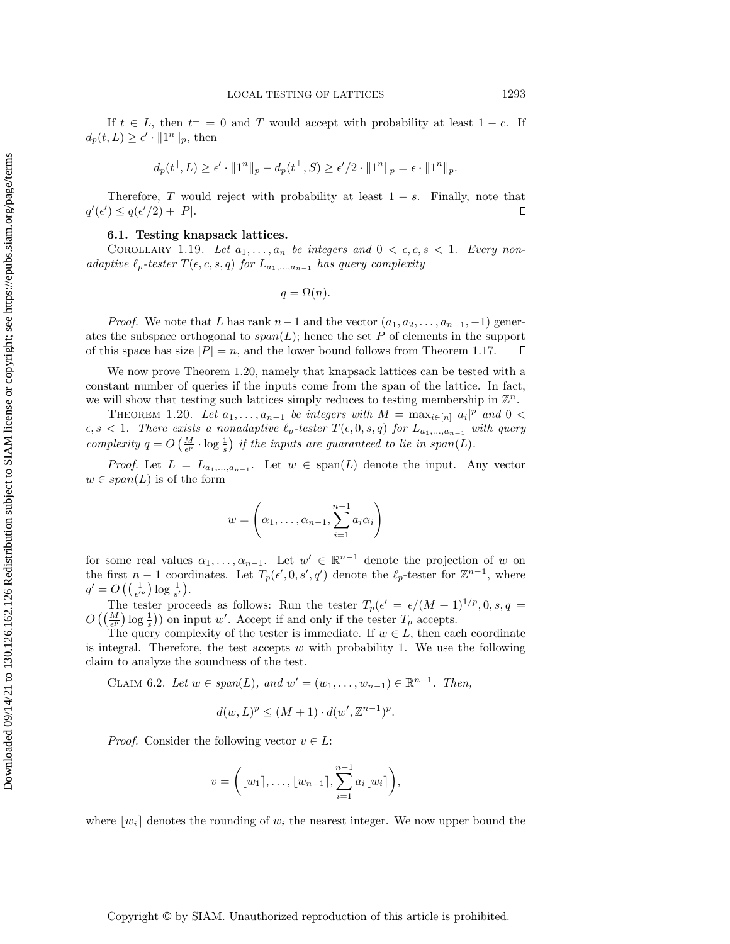If  $t \in L$ , then  $t^{\perp} = 0$  and T would accept with probability at least  $1 - c$ . If  $d_p(t, L) \geq \epsilon' \cdot ||1^n||_p$ , then

$$
d_p(t^{\parallel}, L) \ge \epsilon' \cdot \|1^n\|_p - d_p(t^{\perp}, S) \ge \epsilon'/2 \cdot \|1^n\|_p = \epsilon \cdot \|1^n\|_p.
$$

Therefore, T would reject with probability at least  $1 - s$ . Finally, note that  $q'(\epsilon') \leq q(\epsilon'/2) + |P|.$  $\Box$ 

## 6.1. Testing knapsack lattices.

COROLLARY 1.19. Let  $a_1, \ldots, a_n$  be integers and  $0 < \epsilon, c, s < 1$ . Every nonadaptive  $\ell_p\text{-}tester$   $T(\epsilon, c, s, q)$  for  $L_{a_1,...,a_{n-1}}$  has query complexity

$$
q = \Omega(n).
$$

*Proof.* We note that L has rank  $n-1$  and the vector  $(a_1, a_2, \ldots, a_{n-1}, -1)$  generates the subspace orthogonal to  $span(L)$ ; hence the set P of elements in the support of this space has size  $|P| = n$ , and the lower bound follows from Theorem [1.17.](#page-8-1)  $\Box$ 

We now prove Theorem [1.20,](#page-9-1) namely that knapsack lattices can be tested with a constant number of queries if the inputs come from the span of the lattice. In fact, we will show that testing such lattices simply reduces to testing membership in  $\mathbb{Z}^n$ .

THEOREM 1.20. Let  $a_1, \ldots, a_{n-1}$  be integers with  $M = \max_{i \in [n]} |a_i|^p$  and  $0 <$  $\epsilon, s < 1$ . There exists a nonadaptive  $\ell_p$ -tester  $T(\epsilon, 0, s, q)$  for  $L_{a_1,...,a_{n-1}}$  with query complexity  $q = O\left(\frac{M}{\epsilon^p} \cdot \log \frac{1}{s}\right)$  if the inputs are guaranteed to lie in span(L).

*Proof.* Let  $L = L_{a_1,...,a_{n-1}}$ . Let  $w \in \text{span}(L)$  denote the input. Any vector  $w \in span(L)$  is of the form

$$
w = \left(\alpha_1, \dots, \alpha_{n-1}, \sum_{i=1}^{n-1} a_i \alpha_i\right)
$$

for some real values  $\alpha_1, \ldots, \alpha_{n-1}$ . Let  $w' \in \mathbb{R}^{n-1}$  denote the projection of w on the first  $n-1$  coordinates. Let  $T_p(\epsilon', 0, s', q')$  denote the  $\ell_p$ -tester for  $\mathbb{Z}^{n-1}$ , where  $q' = O\left(\left(\frac{1}{\epsilon'^p}\right) \log \frac{1}{s'}\right).$ 

The tester proceeds as follows: Run the tester  $T_p(\epsilon' = \epsilon/(M+1)^{1/p}, 0, s, q =$  $O\left(\left(\frac{M}{\epsilon^p}\right) \log \frac{1}{s}\right)$  on input w'. Accept if and only if the tester  $T_p$  accepts.

The query complexity of the tester is immediate. If  $w \in L$ , then each coordinate is integral. Therefore, the test accepts  $w$  with probability 1. We use the following claim to analyze the soundness of the test.

<span id="page-28-0"></span>CLAIM 6.2. Let  $w \in span(L)$ , and  $w' = (w_1, ..., w_{n-1}) \in \mathbb{R}^{n-1}$ . Then,

$$
d(w, L)^p \le (M+1) \cdot d(w', \mathbb{Z}^{n-1})^p.
$$

*Proof.* Consider the following vector  $v \in L$ :

$$
v = \left( \lfloor w_1 \rceil, \ldots, \lfloor w_{n-1} \rceil, \sum_{i=1}^{n-1} a_i \lfloor w_i \rceil \right),
$$

where  $|w_i|$  denotes the rounding of  $w_i$  the nearest integer. We now upper bound the

### Copyright © by SIAM. Unauthorized reproduction of this article is prohibited.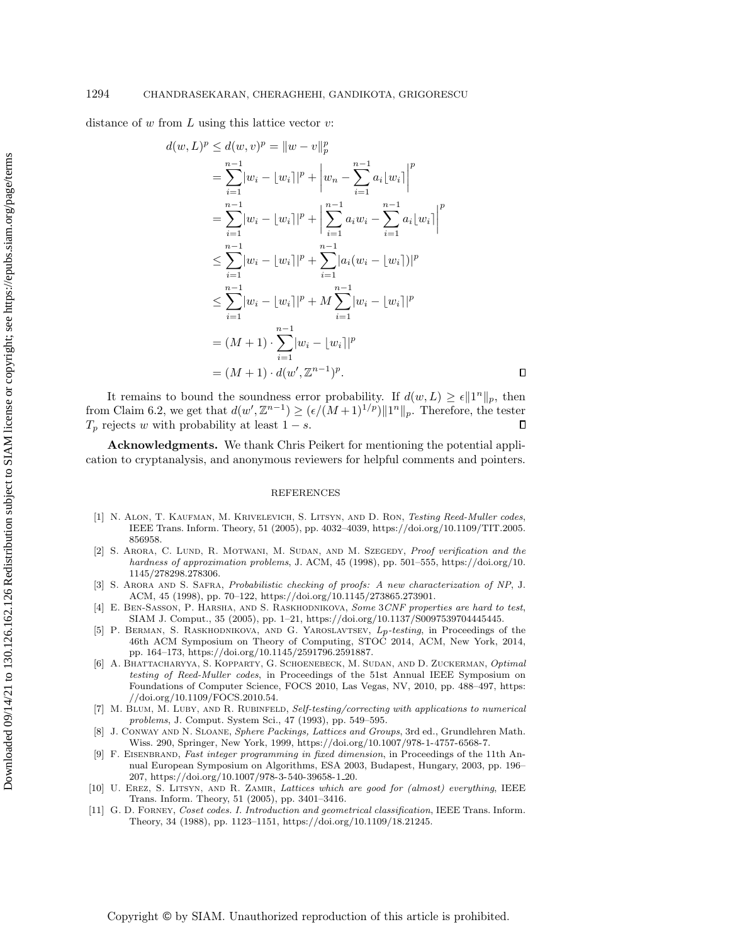distance of  $w$  from  $L$  using this lattice vector  $v$ :

$$
d(w, L)^p \le d(w, v)^p = ||w - v||_p^p
$$
  
\n
$$
= \sum_{i=1}^{n-1} |w_i - [w_i]|^p + |w_n - \sum_{i=1}^{n-1} a_i |w_i| \Big|^p
$$
  
\n
$$
= \sum_{i=1}^{n-1} |w_i - [w_i]|^p + \Big| \sum_{i=1}^{n-1} a_i w_i - \sum_{i=1}^{n-1} a_i |w_i| \Big|^p
$$
  
\n
$$
\le \sum_{i=1}^{n-1} |w_i - [w_i]|^p + \sum_{i=1}^{n-1} |a_i (w_i - [w_i])|^p
$$
  
\n
$$
\le \sum_{i=1}^{n-1} |w_i - [w_i]|^p + M \sum_{i=1}^{n-1} |w_i - [w_i]|^p
$$
  
\n
$$
= (M + 1) \cdot \sum_{i=1}^{n-1} |w_i - [w_i]|^p
$$
  
\n
$$
= (M + 1) \cdot d(w', \mathbb{Z}^{n-1})^p.
$$

 $\Box$ 

It remains to bound the soundness error probability. If  $d(w, L) \geq \epsilon ||1^n||_p$ , then from Claim [6.2,](#page-28-0) we get that  $d(w', \mathbb{Z}^{n-1}) \geq (\epsilon/(M+1)^{1/p}) ||1^n||_p$ . Therefore, the tester  $T_p$  rejects w with probability at least  $1 - s$ .  $\Box$ 

Acknowledgments. We thank Chris Peikert for mentioning the potential application to cryptanalysis, and anonymous reviewers for helpful comments and pointers.

#### REFERENCES

- <span id="page-29-10"></span>[1] N. ALON, T. KAUFMAN, M. KRIVELEVICH, S. LITSYN, AND D. RON, Testing Reed-Muller codes, IEEE Trans. Inform. Theory, 51 (2005), pp. 4032–4039, [https://doi.org/10.1109/TIT.2005.](https://doi.org/10.1109/TIT.2005.856958) [856958.](https://doi.org/10.1109/TIT.2005.856958)
- <span id="page-29-1"></span>[2] S. ARORA, C. LUND, R. MOTWANI, M. SUDAN, AND M. SZEGEDY, Proof verification and the hardness of approximation problems, J. ACM, 45 (1998), pp. 501–555, [https://doi.org/10.](https://doi.org/10.1145/278298.278306) [1145/278298.278306.](https://doi.org/10.1145/278298.278306)
- <span id="page-29-2"></span>[3] S. Arora and S. Safra, Probabilistic checking of proofs: A new characterization of NP, J. ACM, 45 (1998), pp. 70–122, [https://doi.org/10.1145/273865.273901.](https://doi.org/10.1145/273865.273901)
- <span id="page-29-8"></span>[4] E. BEN-SASSON, P. HARSHA, AND S. RASKHODNIKOVA, Some 3CNF properties are hard to test, SIAM J. Comput., 35 (2005), pp. 1–21, [https://doi.org/10.1137/S0097539704445445.](https://doi.org/10.1137/S0097539704445445)
- <span id="page-29-6"></span>[5] P. Berman, S. Raskhodnikova, and G. Yaroslavtsev, Lp-testing, in Proceedings of the 46th ACM Symposium on Theory of Computing, STOC 2014, ACM, New York, 2014, pp. 164–173, [https://doi.org/10.1145/2591796.2591887.](https://doi.org/10.1145/2591796.2591887)
- <span id="page-29-9"></span>[6] A. BHATTACHARYYA, S. KOPPARTY, G. SCHOENEBECK, M. SUDAN, AND D. ZUCKERMAN, Optimal testing of Reed-Muller codes, in Proceedings of the 51st Annual IEEE Symposium on Foundations of Computer Science, FOCS 2010, Las Vegas, NV, 2010, pp. 488–497, [https:](https://doi.org/10.1109/FOCS.2010.54) [//doi.org/10.1109/FOCS.2010.54.](https://doi.org/10.1109/FOCS.2010.54)
- <span id="page-29-0"></span>[7] M. BLUM, M. LUBY, AND R. RUBINFELD, Self-testing/correcting with applications to numerical problems, J. Comput. System Sci., 47 (1993), pp. 549–595.
- <span id="page-29-3"></span>J. CONWAY AND N. SLOANE, Sphere Packings, Lattices and Groups, 3rd ed., Grundlehren Math. Wiss. 290, Springer, New York, 1999, [https://doi.org/10.1007/978-1-4757-6568-7.](https://doi.org/10.1007/978-1-4757-6568-7)
- <span id="page-29-4"></span>[9] F. EISENBRAND, Fast integer programming in fixed dimension, in Proceedings of the 11th Annual European Symposium on Algorithms, ESA 2003, Budapest, Hungary, 2003, pp. 196– 207, [https://doi.org/10.1007/978-3-540-39658-1](https://doi.org/10.1007/978-3-540-39658-1_20) 20.
- <span id="page-29-7"></span>[10] U. EREZ, S. LITSYN, AND R. ZAMIR, Lattices which are good for (almost) everything, IEEE Trans. Inform. Theory, 51 (2005), pp. 3401–3416.
- <span id="page-29-5"></span>[11] G. D. Forney, Coset codes. I. Introduction and geometrical classification, IEEE Trans. Inform. Theory, 34 (1988), pp. 1123–1151, [https://doi.org/10.1109/18.21245.](https://doi.org/10.1109/18.21245)